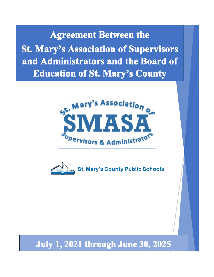**Agreement Between the St. Mary's Association of Supervisors** and Administrators and the Board of **Education of St. Mary's County** 





# July 1, 2021 through June 30, 2025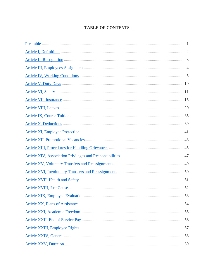## **TABLE OF CONTENTS**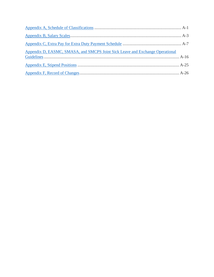| Appendix D, EASMC, SMASA, and SMCPS Joint Sick Leave and Exchange Operational |  |
|-------------------------------------------------------------------------------|--|
|                                                                               |  |
|                                                                               |  |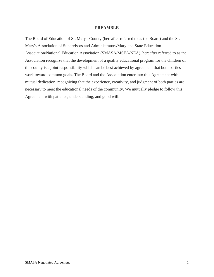#### **PREAMBLE**

<span id="page-3-0"></span>The Board of Education of St. Mary's County (hereafter referred to as the Board) and the St. Mary's Association of Supervisors and Administrators/Maryland State Education Association/National Education Association (SMASA/MSEA/NEA), hereafter referred to as the Association recognize that the development of a quality educational program for the children of the county is a joint responsibility which can be best achieved by agreement that both parties work toward common goals. The Board and the Association enter into this Agreement with mutual dedication, recognizing that the experience, creativity, and judgment of both parties are necessary to meet the educational needs of the community. We mutually pledge to follow this Agreement with patience, understanding, and good will.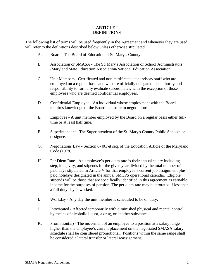#### **ARTICLE I DEFINITIONS**

<span id="page-4-0"></span>The following list of terms will be used frequently in the Agreement and whenever they are used will refer to the definitions described below unless otherwise stipulated.

- A. Board The Board of Education of St. Mary's County.
- B. Association or SMASA The St. Mary's Association of School Administrators /Maryland State Education Association/National Education Association.
- C. Unit Members Certificated and non-certificated supervisory staff who are employed on a regular basis and who are officially delegated the authority and responsibility to formally evaluate subordinates, with the exception of those employees who are deemed confidential employees.
- D. Confidential Employee An individual whose employment with the Board requires knowledge of the Board's posture in negotiations.
- E. Employee A unit member employed by the Board on a regular basis either fulltime or at least half time.
- F. Superintendent The Superintendent of the St. Mary's County Public Schools or designee.
- G. Negotiations Law Section 6-401 et seq. of the Education Article of the Maryland Code (1978).
- H. Per Diem Rate An employee's per diem rate is their annual salary including step, longevity, and stipends for the given year divided by the total number of paid days stipulated in Article V for that employee's current job assignment plus paid holidays designated in the annual SMCPS operational calendar. Eligible stipends will be those that are specifically identified in this agreement as earnable income for the purposes of pension. The per diem rate may be prorated if less than a full duty day is worked.
- I. Workday Any day the unit member is scheduled to be on duty.
- J. Intoxicated Affected temporarily with diminished physical and mental control by means of alcoholic liquor, a drug, or another substance.
- K. Promotion(al) The movement of an employee to a position at a salary range higher than the employee's current placement on the negotiated SMASA salary schedule shall be considered promotional. Positions within the same range shall be considered a lateral transfer or lateral reassignment.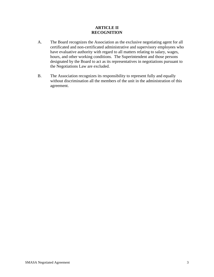#### **ARTICLE II RECOGNITION**

- <span id="page-5-0"></span>A. The Board recognizes the Association as the exclusive negotiating agent for all certificated and non-certificated administrative and supervisory employees who have evaluative authority with regard to all matters relating to salary, wages, hours, and other working conditions. The Superintendent and those persons designated by the Board to act as its representatives in negotiations pursuant to the Negotiations Law are excluded.
- B. The Association recognizes its responsibility to represent fully and equally without discrimination all the members of the unit in the administration of this agreement.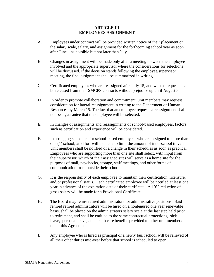#### **ARTICLE III EMPLOYEES ASSIGNMENT**

- <span id="page-6-0"></span>A. Employees under contract will be provided written notice of their placement on the salary scale, salary, and assignment for the forthcoming school year as soon after June 1 as possible but not later than July 1.
- B. Changes in assignment will be made only after a meeting between the employee involved and the appropriate supervisor where the considerations for selections will be discussed. If the decision stands following the employee/supervisor meeting, the final assignment shall be summarized in writing.
- C. Certificated employees who are reassigned after July 15, and who so request, shall be released from their SMCPS contracts without prejudice up until August 5.
- D. In order to promote collaboration and commitment, unit members may request consideration for lateral reassignment in writing to the Department of Human Resources by March 15. The fact that an employee requests a reassignment shall not be a guarantee that the employee will be selected.
- E. In changes of assignments and reassignments of school-based employees, factors such as certification and experience will be considered.
- F. In arranging schedules for school-based employees who are assigned to more than one (1) school, an effort will be made to limit the amount of inter-school travel. Unit members shall be notified of a change in their schedules as soon as practical. Employees who are supporting more than one site shall select, with input from their supervisor, which of their assigned sites will serve as a home site for the purposes of mail, paychecks, storage, staff meetings, and other forms of communication from outside their school.
- G. It is the responsibility of each employee to maintain their certification, licensure, and/or professional status. Each certificated employee will be notified at least one year in advance of the expiration date of their certificate. A 10% reduction of gross salary will be made for a Provisional Certificate.
- H. The Board may rehire retired administrators for administrative positions. Said rehired retired administrators will be hired on a nontenured one year renewable basis, shall be placed on the administrators salary scale at the last step held prior to retirement, and shall be entitled to the same contractual protections, sick leave, personal leave, and health care benefits provided to other unit members under this Agreement.
- I. Any employee who is hired as principal of a newly built school will be relieved of all their other duties mid-year before that school is scheduled to open.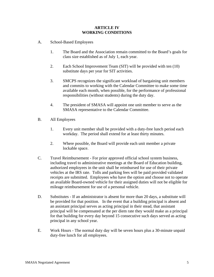#### **ARTICLE IV WORKING CONDITIONS**

- <span id="page-7-0"></span>A. School-Based Employees
	- 1. The Board and the Association remain committed to the Board's goals for class size established as of July 1, each year.
	- 2. Each School Improvement Team (SIT) will be provided with ten (10) substitute days per year for SIT activities.
	- 3. SMCPS recognizes the significant workload of bargaining unit members and commits to working with the Calendar Committee to make some time available each month, when possible, for the performance of professional responsibilities (without students) during the duty day.
	- 4. The president of SMASA will appoint one unit member to serve as the SMASA representative to the Calendar Committee.
- B. All Employees
	- 1. Every unit member shall be provided with a duty-free lunch period each workday. The period shall extend for at least thirty minutes.
	- 2. Where possible, the Board will provide each unit member a private lockable space.
- C. Travel Reimbursement For prior approved official school system business, including travel to administrative meetings at the Board of Education building, authorized employees in the unit shall be reimbursed for use of their private vehicles at the IRS rate. Tolls and parking fees will be paid provided validated receipts are submitted. Employees who have the option and choose not to operate an available Board-owned vehicle for their assigned duties will not be eligible for mileage reimbursement for use of a personal vehicle.
- D. Substitutes If an administrator is absent for more than 20 days, a substitute will be provided for that position. In the event that a building principal is absent and an assistant principal serves as acting principal in their stead, that assistant principal will be compensated at the per diem rate they would make as a principal for that building for every day beyond 15 consecutive such days served as acting principal in any school year.
- E. Work Hours The normal duty day will be seven hours plus a 30-minute unpaid duty-free lunch for all employees.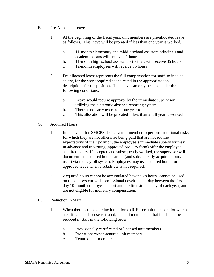- F. Pre-Allocated Leave
	- 1. At the beginning of the fiscal year, unit members are pre-allocated leave as follows. This leave will be prorated if less than one year is worked.
		- a. 11-month elementary and middle school assistant principals and academic deans will receive 21 hours
		- b. 11-month high school assistant principals will receive 35 hours
		- c. 12-month employees will receive 35 hours
	- 2. Pre-allocated leave represents the full compensation for staff, to include salary, for the work required as indicated in the appropriate job descriptions for the position. This leave can only be used under the following conditions:
		- a. Leave would require approval by the immediate supervisor, utilizing the electronic absence reporting system
		- b. There is no carry over from one year to the next
		- c. This allocation will be prorated if less than a full year is worked
- G. Acquired Hours
	- 1. In the event that SMCPS desires a unit member to perform additional tasks for which they are not otherwise being paid that are not routine expectations of their position, the employee's immediate supervisor may in advance and in writing (approved SMCPS form) offer the employee acquired hours. If accepted and subsequently worked, the supervisor will document the acquired hours earned (and subsequently acquired hours used) via the payroll system. Employees may use acquired hours for approved leave when a substitute is not required.
	- 2. Acquired hours cannot be accumulated beyond 28 hours, cannot be used on the one system-wide professional development day between the first day 10-month employees report and the first student day of each year, and are not eligible for monetary compensation.
- H. Reduction in Staff
	- 1. When there is to be a reduction in force (RIF) for unit members for which a certificate or license is issued, the unit members in that field shall be reduced in staff in the following order.
		- a. Provisionally certificated or licensed unit members
		- b. Probationary/non-tenured unit members
		- c. Tenured unit members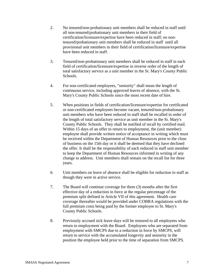- 2. No tenured/non-probationary unit members shall be reduced in staff until all non-tenured/probationary unit members in their field of certification/licensure/expertise have been reduced in staff; no nontenured/probationary unit members shall be reduced in staff until all provisional unit members in their field of certification/licensure/expertise have been reduced in staff.
- 3. Tenured/non-probationary unit members shall be reduced in staff in each field of certification/licensure/expertise in inverse order of the length of total satisfactory service as a unit member in the St. Mary's County Public Schools.
- 4. For non-certificated employees, "seniority" shall mean the length of continuous service, including approved leaves of absence, with the St. Mary's County Public Schools since the most recent date of hire.
- 5. When positions in fields of certification/licensure/expertise for certificated or non-certificated employees become vacant, tenured/non-probationary unit members who have been reduced in staff shall be recalled in order of the length of total satisfactory service as unit member in the St. Mary's County Public Schools. They shall be notified of recall by certified mail. Within 15 days of an offer to return to employment, the (unit member) employee shall provide written notice of acceptance in writing which must be received within the Department of Human Resources prior to the close of business on the 15th day or it shall be deemed that they have declined the offer. It shall be the responsibility of each reduced in staff unit member to keep the Department of Human Resources informed in writing of any change in address. Unit members shall remain on the recall list for three years.
- 6. Unit members on leave of absence shall be eligible for reduction in staff as though they were in active service.
- 7. The Board will continue coverage for three (3) months after the first effective day of a reduction in force at the regular percentage of the premium split defined in Article VII of this agreement. Health care coverage thereafter would be provided under COBRA regulations with the full premium costs being paid by the former employee to St. Mary's County Public Schools.
- 8. Previously accrued sick leave days will be restored to all employees who return to employment with the Board. Employees who are separated from employment with SMCPS due to a reduction in force by SMCPS, will return to service with the accumulated longevity and seniority in the position the employee held prior to the time of separation from SMCPS.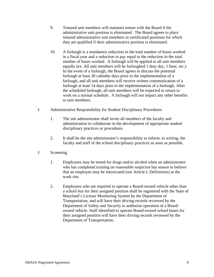- 9. Tenured unit members will maintain tenure with the Board if the administrative unit position is eliminated. The Board agrees to place tenured administrative unit members in certificated positions for which they are qualified if their administrative position is eliminated.
- 10. A furlough is a mandatory reduction in the total number of hours worked in a fiscal year and a reduction in pay equal to the reduction in the total number of hours worked. A furlough will be applied to all unit members equally (ex. All unit members will be furloughed 1 duty day, 1 hour, etc.). In the event of a furlough, the Board agrees to discuss the potential furlough at least 30 calendar days prior to the implementation of a furlough, and all unit members will receive written communication of a furlough at least 14 days prior to the implementation of a furlough. After the scheduled furlough, all unit members will be expected to return to work on a normal schedule. A furlough will not impact any other benefits to unit members.
- I. Administrative Responsibility for Student Disciplinary Procedures
	- 1. The site administrator shall invite all members of the faculty and administration to collaborate in the development of appropriate student disciplinary practices or procedures.
	- 2. It shall be the site administrator's responsibility to inform, in writing, the faculty and staff of the school disciplinary practices as soon as possible.
- J. Screening
	- 1. Employees may be tested for drugs and/or alcohol when an administrator who has completed training on reasonable suspicion has reason to believe that an employee may be intoxicated (see Article I, Definitions) at the work site.
	- 2. Employees who are required to operate a Board-owned vehicle other than a school bus for their assigned position shall be registered with the State of Maryland's License Monitoring System by the Department of Transportation, and will have their driving records reviewed by the Department of Safety and Security to authorize operation of a Boardowned vehicle. Staff identified to operate Board-owned school buses for their assigned position will have their driving records reviewed by the Department of Transportation.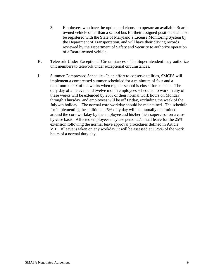- 3. Employees who have the option and choose to operate an available Boardowned vehicle other than a school bus for their assigned position shall also be registered with the State of Maryland's License Monitoring System by the Department of Transportation, and will have their driving records reviewed by the Department of Safety and Security to authorize operation of a Board-owned vehicle.
- K. Telework Under Exceptional Circumstances The Superintendent may authorize unit members to telework under exceptional circumstances.
- L. Summer Compressed Schedule In an effort to conserve utilities, SMCPS will implement a compressed summer scheduled for a minimum of four and a maximum of six of the weeks when regular school is closed for students. The duty day of all eleven and twelve month employees scheduled to work in any of these weeks will be extended by 25% of their normal work hours on Monday through Thursday, and employees will be off Friday, excluding the week of the July 4th holiday. The normal core workday should be maintained. The schedule for implementing the additional 25% duty day will be mutually determined around the core workday by the employee and his/her their supervisor on a caseby-case basis. Affected employees may use personal/annual leave for the 25% extension following the normal leave approval procedures defined in Article VIII. If leave is taken on any workday, it will be assessed at 1.25% of the work hours of a normal duty day.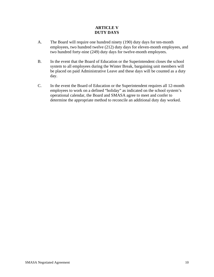## **ARTICLE V DUTY DAYS**

- <span id="page-12-0"></span>A. The Board will require one hundred ninety (190) duty days for ten-month employees, two hundred twelve (212) duty days for eleven-month employees, and two hundred forty-nine (249) duty days for twelve-month employees.
- B. In the event that the Board of Education or the Superintendent closes the school system to all employees during the Winter Break, bargaining unit members will be placed on paid Administrative Leave and these days will be counted as a duty day.
- C. In the event the Board of Education or the Superintendent requires all 12-month employees to work on a defined "holiday" as indicated on the school system's operational calendar, the Board and SMASA agree to meet and confer to determine the appropriate method to reconcile an additional duty day worked.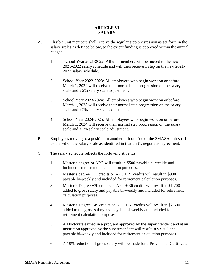## **ARTICLE VI SALARY**

- <span id="page-13-0"></span>A. Eligible unit members shall receive the regular step progression as set forth in the salary scales as defined below, to the extent funding is approved within the annual budget.
	- 1. School Year 2021-2022: All unit members will be moved to the new 2021-2022 salary schedule and will then receive 1 step on the new 2021- 2022 salary schedule.
	- 2. School Year 2022-2023: All employees who begin work on or before March 1, 2022 will receive their normal step progression on the salary scale and a 2% salary scale adjustment.
	- 3. School Year 2023-2024: All employees who begin work on or before March 1, 2023 will receive their normal step progression on the salary scale and a 2% salary scale adjustment.
	- 4. School Year 2024-2025: All employees who begin work on or before March 1, 2024 will receive their normal step progression on the salary scale and a 2% salary scale adjustment.
- B. Employees moving to a position in another unit outside of the SMASA unit shall be placed on the salary scale as identified in that unit's negotiated agreement.
- C. The salary schedule reflects the following stipends:
	- 1. Master's degree or APC will result in \$500 payable bi-weekly and included for retirement calculation purposes.
	- 2. Master's degree  $+15$  credits or APC  $+21$  credits will result in \$900 payable bi-weekly and included for retirement calculation purposes.
	- 3. Master's Degree +30 credits or APC + 36 credits will result in \$1,700 added to gross salary and payable bi-weekly and included for retirement calculation purposes.
	- 4. Master's Degree +45 credits or APC + 51 credits will result in \$2,500 added to the gross salary and payable bi-weekly and included for retirement calculation purposes.
	- 5. A Doctorate earned in a program approved by the superintendent and at an institution approved by the superintendent will result in \$3,300 and payable bi-weekly and included for retirement calculation purposes.
	- 6. A 10% reduction of gross salary will be made for a Provisional Certificate.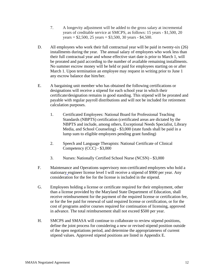- 7. A longevity adjustment will be added to the gross salary at incremental years of creditable service at SMCPS, as follows: 15 years - \$1,500, 20 years =  $$2,500, 25 \text{ years} = $3,500, 30 \text{ years} - $4,500.$
- D. All employees who work their full contractual year will be paid in twenty-six (26) installments during the year. The annual salary of employees who work less than their full contractual year and whose effective start date is prior to March 1, will be prorated and paid according to the number of available remaining installments. No summer escrow money will be held or paid for employees starting on or after March 1. Upon termination an employee may request in writing prior to June 1 any escrow balance due him/her.
- E. A bargaining unit member who has obtained the following certifications or designations will receive a stipend for each school year in which their certificate/designation remains in good standing. This stipend will be prorated and payable with regular payroll distributions and will not be included for retirement calculation purposes.
	- 1. Certificated Employees: National Board for Professional Teaching Standards (NBPTS) certification (certificated areas are dictated by the NBPTS and include, among others, Exceptional Needs Specialist, Library Media, and School Counseling) - \$3,000 (state funds shall be paid in a lump sum to eligible employees pending grant funding)
	- 2. Speech and Language Therapists: National Certificate of Clinical Competency (CCC) - \$3,000
	- 3. Nurses: Nationally Certified School Nurse (NCSN) \$3,000
- F. Maintenance and Operations supervisory non-certificated employees who hold a stationary engineer license level I will receive a stipend of \$900 per year. Any consideration for the fee for the license is included in the stipend.
- G. Employees holding a license or certificate required for their employment, other than a license provided by the Maryland State Department of Education, shall receive reimbursement for the payment of the required license or certification fee, or for the fee paid for renewal of said required license or certification, or for the cost of programs and/or courses required for continuation of licensing, approved in advance. The total reimbursement shall not exceed \$500 per year.
- H. SMCPS and SMASA will continue to collaborate to review stipend positions, define the joint process for considering a new or revised stipend position outside of the open negotiations period, and determine the appropriateness of current stipend values. Approved stipend positions are listed in Appendix E.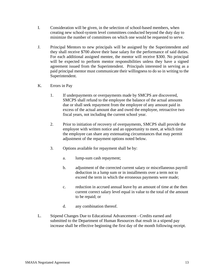- I. Consideration will be given, in the selection of school-based members, when creating new school-system level committees conducted beyond the duty day to minimize the number of committees on which one would be requested to serve.
- J. Principal Mentors to new principals will be assigned by the Superintendent and they shall receive \$700 above their base salary for the performance of said duties. For each additional assigned mentee, the mentor will receive \$300. No principal will be expected to perform mentor responsibilities unless they have a signed agreement issued from the Superintendent. Principals interested in serving as a paid principal mentor must communicate their willingness to do so in writing to the Superintendent.
- K. Errors in Pay
	- 1. If underpayments or overpayments made by SMCPS are discovered, SMCPS shall refund to the employee the balance of the actual amounts due or shall seek repayment from the employee of any amount paid in excess of the actual amount due and owed the employee, retroactive two fiscal years, not including the current school year.
	- 2. Prior to initiation of recovery of overpayments, SMCPS shall provide the employee with written notice and an opportunity to meet, at which time the employee can share any extenuating circumstances that may permit adjustment of the repayment options noted below.
	- 3. Options available for repayment shall be by:
		- a. lump-sum cash repayment;
		- b. adjustment of the corrected current salary or miscellaneous payroll deduction in a lump sum or in installments over a term not to exceed the term in which the erroneous payments were made;
		- c. reduction in accrued annual leave by an amount of time at the then current correct salary level equal in value to the total of the amount to be repaid; or
		- d. any combination thereof.
- L. Stipend Changes Due to Educational Advancement Credits earned and submitted to the Department of Human Resources that result in a stipend pay increase shall be effective beginning the first day of the month following receipt.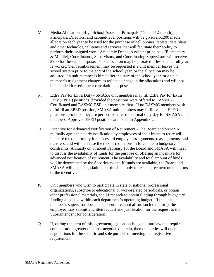- M. Media Allocation High School Assistant Principals (11- and 12-month), Principals, Directors, and cabinet-level positions will be given a \$1200 media allocation each year to be used for the purchase of cell phones, tablets, data plans, and other technological items and services that will facilitate their ability to perform their assigned work. Academic Deans, Assistant principals (Elementary & Middle), Coordinators, Supervisors, and Coordinating Supervisors will receive \$900 for the same purpose. This allocation may be prorated if less than a full year is worked (i.e., reimbursement may be requested if a unit member leaves the school system prior to the end of the school year, or the allocation may be adjusted if a unit member is hired after the start of the school year, or a unit member's assignment changes to reflect a change in the allocation) and will not be included for retirement calculation purposes.
- N. Extra Pay for Extra Duty SMASA unit members may fill Extra Pay for Extra Duty (EPED) positions, provided the positions were offered to EASMC-Certificated and EASMC-ESP unit members first. If no EASMC members wish to fulfill an EPED position, SMASA unit members may fulfill vacant EPED positions, provided they are performed after the normal duty day for SMASA unit members. Approved EPED positions are listed in Appendix C.
- O. Incentive for Advanced Notification of Retirement The Board and SMASA mutually agree that early notification by employees of their intent to retire will increase the opportunity for successful employee assignments, reassignments, and transfers, and will decrease the risk of reductions in force due to budgetary constraints. Annually on or about February 15, the Board and SMASA will meet to discuss the availability of funds for the purpose of offering an incentive for advanced notification of retirement. The availability and total amount of funds will be determined by the Superintendent. If funds are available, the Board and SMASA will open negotiations for this item only to reach agreement on the terms of the incentive.
- P. Unit members who wish to participate in state or national professional organizations, subscribe to educational or work-related periodicals, or obtain other professional materials, shall first seek to obtain funding through budgetary funding allocated within each department's operating budget. If the unit member's supervisor does not support or cannot afford such request(s), the employee may submit a written request and justification for the request to the Superintendent for consideration.
- Q. If, during the term of this agreement, legislation is signed into law that requires compensation greater than that negotiated herein, then the parties will open negotiations for the specific and sole purpose of meeting that legislative requirement.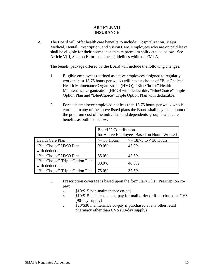#### **ARTICLE VII INSURANCE**

<span id="page-17-0"></span>A. The Board will offer health care benefits to include: Hospitalization, Major Medical, Dental, Prescription, and Vision Care. Employees who are on paid leave shall be eligible for their normal health care premium split detailed below. See Article VIII, Section E for insurance guidelines while on FMLA.

The benefit package offered by the Board will include the following changes.

- 1. Eligible employees (defined as active employees assigned to regularly work at least 18.75 hours per week) will have a choice of "BlueChoice" Health Maintenance Organization (HMO), "BlueChoice" Health Maintenance Organization (HMO) with deductible, "BlueChoice" Triple Option Plan and "BlueChoice" Triple Option Plan with deductible.
- 2. For each employee employed not less than 18.75 hours per week who is enrolled in any of the above listed plans the Board shall pay the amount of the premium cost of the individual and dependents' group health care benefits as outlined below.

|                                                    | <b>Board % Contribution</b><br>for Active Employees Based on Hours Worked |                            |
|----------------------------------------------------|---------------------------------------------------------------------------|----------------------------|
| <b>Health Care Plan</b>                            | $>=$ 30 Hours                                                             | $>= 18.75$ to $< 30$ Hours |
| "BlueChoice" HMO Plan<br>with deductible           | 90.0%                                                                     | 45.0%                      |
| "BlueChoice" HMO Plan                              | 85.0%                                                                     | 42.5%                      |
| "BlueChoice" Triple Option Plan<br>with deductible | 80.0%                                                                     | 40.0%                      |
| "BlueChoice" Triple Option Plan                    | 75.0%                                                                     | 37.5%                      |

- 3. Prescription coverage is based upon the formulary 2 list. Prescription copay:
	- a. \$10/\$15 non-maintenance co-pay
	- b. \$10/\$15 maintenance co-pay for mail order or if purchased at CVS (90-day supply)
	- c. \$20/\$30 maintenance co-pay if purchased at any other retail pharmacy other than CVS (90-day supply)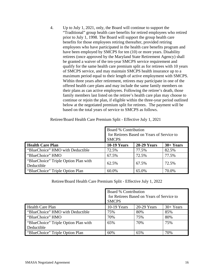4. Up to July 1, 2021, only, the Board will continue to support the "Traditional" group health care benefits for retired employees who retired prior to July 1, 1998. The Board will support the group health care benefits for those employees retiring thereafter, provided retiring employees who have participated in the health care benefits program and have been employed by SMCPS for ten (10) or more years. Disability retirees (once approved by the Maryland State Retirement Agency) shall be granted a waiver of the ten-year SMCPS service requirement and qualify for the same health care premium split as for retirees with 10 years of SMCPS service, and may maintain SMCPS health insurance up to a maximum period equal to their length of active employment with SMCPS. Within three years after retirement, retirees may participate in one of the offered health care plans and may include the same family members on their plans as can active employees. Following the retiree's death, those family members last listed on the retiree's health care plan may choose to continue or rejoin the plan, if eligible within the three-year period outlined below at the negotiated premium split for retirees. The payment will be based on the total years of service to SMCPS as follows.

|                                                    | Board % Contribution<br>for Retirees Based on Years of Service to<br><b>SMCPS</b> |                    |             |
|----------------------------------------------------|-----------------------------------------------------------------------------------|--------------------|-------------|
| <b>Health Care Plan</b>                            | <b>10-19 Years</b>                                                                | <b>20-29 Years</b> | $30+ Years$ |
| "BlueChoice" HMO with Deductible                   | 72.5%                                                                             | 77.5%              | 82.5%       |
| "BlueChoice" HMO                                   | 67.5%                                                                             | 72.5%              | 77.5%       |
| "BlueChoice" Triple Option Plan with<br>Deductible | 62.5%                                                                             | 67.5%              | 72.5%       |
| "BlueChoice" Triple Option Plan                    | 60.0%                                                                             | 65.0%              | 70.0%       |

Retiree/Board Health Care Premium Split - Effective July 1, 2021

Retiree/Board Health Care Premium Split - Effective July 1, 2022

|                                      | Board % Contribution<br>for Retirees Based on Years of Service to<br><b>SMCPS</b> |             |            |
|--------------------------------------|-----------------------------------------------------------------------------------|-------------|------------|
| <b>Health Care Plan</b>              | 10-19 Years                                                                       | 20-29 Years | $30+Years$ |
| "BlueChoice" HMO with Deductible     | 75%                                                                               | 80%         | 85%        |
| "BlueChoice" HMO                     | 70%                                                                               | 75%         | 80%        |
| "BlueChoice" Triple Option Plan with | 65%                                                                               | 70%         | 75%        |
| Deductible                           |                                                                                   |             |            |
| "BlueChoice" Triple Option Plan      | 60%                                                                               | 65%         | 70%        |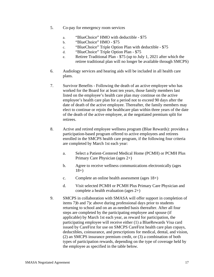- 5. Co-pay for emergency room services
	- a. "BlueChoice" HMO with deductible \$75
	- b. "BlueChoice" HMO \$75
	- c. "BlueChoice" Triple Option Plan with deductible \$75
	- d. "BlueChoice" Triple Option Plan \$75
	- e. Retiree Traditional Plan \$75 (up to July 1, 2021 after which the retiree traditional plan will no longer be available through SMCPS)
- 6. Audiology services and hearing aids will be included in all health care plans.
- 7. Survivor Benefits Following the death of an active employee who has worked for the Board for at least ten years, those family members last listed on the employee's health care plan may continue on the active employee's health care plan for a period not to exceed 90 days after the date of death of the active employee. Thereafter, the family members may elect to continue or rejoin the healthcare plan within three years of the date of the death of the active employee, at the negotiated premium split for retirees.
- 8. Active and retired employee wellness program (Blue Rewards): provides a participation-based program offered to active employees and retirees enrolled in the SMCPS health care program, if the following four criteria are completed by March 1st each year:
	- a. Select a Patient-Centered Medical Home (PCMH) or PCMH Plus Primary Care Physician (ages 2+)
	- b. Agree to receive wellness communications electronically (ages  $18+$
	- c. Complete an online health assessment (ages 18+)
	- d. Visit selected PCMH or PCMH Plus Primary Care Physician and complete a health evaluation (ages 2+)
- 9. SMCPS in collaboration with SMASA will offer support in completion of items 7)b and 7)c above during professional days prior to students returning to school and on an as-needed basis thereafter. After all four steps are completed by the participating employee and spouse (if applicable) by March 1st each year, as reward for participation, the participating employee will receive either (1) a BlueRewards Visa card issued by CareFirst for use on SMCPS CareFirst health care plan copays, deductibles, coinsurance, and prescriptions for medical, dental, and vision, (2) an SMCPS insurance premium credit, or (3) a combination of both types of participation rewards, depending on the type of coverage held by the employee as specified in the table below.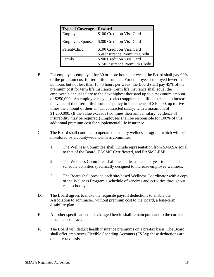| <b>Type of Coverage</b> | <b>Reward</b>                  |
|-------------------------|--------------------------------|
| Employee                | \$100 Credit on Visa Card      |
| Employee/Spouse         | \$200 Credit on Visa Card      |
| Parent/Child            | \$100 Credit on Visa Card      |
|                         | \$50 Insurance Premium Credit  |
| Family                  | \$200 Credit on Visa Card      |
|                         | \$150 Insurance Premium Credit |

- B. For employees employed for 30 or more hours per week, the Board shall pay 90% of the premium cost for term life insurance. For employees employed fewer than 30 hours but not less than 18.75 hours per week, the Board shall pay 45% of the premium cost for term life insurance. Term life insurance shall equal the employee's annual salary to the next highest thousand up to a maximum amount of \$250,000. An employee may also elect supplemental life insurance to increase the value of their term life insurance policy in increments of \$10,000, up to five times the amount of their annual contracted salary, with a maximum of \$1,250,000. (If the value exceeds two times their annual salary, evidence of insurability may be required.) Employees shall be responsible for 100% of this additional premium cost for supplemental life insurance.
- C. The Board shall continue to operate the county wellness program, which will be monitored by a countywide wellness committee.
	- 1. The Wellness Committee shall include representation from SMASA equal to that of the Board, EASMC Certificated, and EASMC-ESP.
	- 2. The Wellness Committee shall meet at least once per year to plan and schedule activities specifically designed to increase employee wellness.
	- 3. The Board shall provide each site-based Wellness Coordinator with a copy of the Wellness Program's schedule of services and activities throughout each school year.
- D. The Board agrees to make the requisite payroll deductions to enable the Association to administer, without premium cost to the Board, a long-term disability plan.
- E. All other specifications not changed herein shall remain pursuant to the current insurance contract.
- F. The Board will deduct health insurance premiums on a pre-tax basis. The Board shall offer employees Flexible Spending Accounts (FSAs); these deductions are on a pre-tax basis.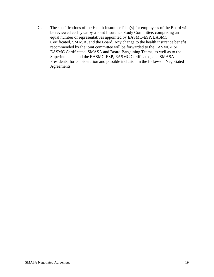G. The specifications of the Health Insurance Plan(s) for employees of the Board will be reviewed each year by a Joint Insurance Study Committee, comprising an equal number of representatives appointed by EASMC-ESP, EASMC Certificated, SMASA, and the Board. Any change to the health insurance benefit recommended by the joint committee will be forwarded to the EASMC-ESP, EASMC Certificated, SMASA and Board Bargaining Teams, as well as to the Superintendent and the EASMC-ESP, EASMC Certificated, and SMASA Presidents, for consideration and possible inclusion in the follow-on Negotiated Agreements.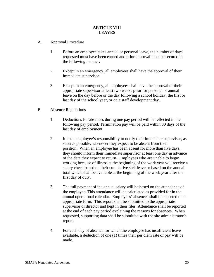### **ARTICLE VIII LEAVES**

- <span id="page-22-0"></span>A. Approval Procedure
	- 1. Before an employee takes annual or personal leave, the number of days requested must have been earned and prior approval must be secured in the following manner:
	- 2. Except in an emergency, all employees shall have the approval of their immediate supervisor.
	- 3. Except in an emergency, all employees shall have the approval of their appropriate supervisor at least two weeks prior for personal or annual leave on the day before or the day following a school holiday, the first or last day of the school year, or on a staff development day.
- B. Absence Regulations
	- 1. Deductions for absences during one pay period will be reflected in the following pay period. Termination pay will be paid within 30 days of the last day of employment.
	- 2. It is the employee's responsibility to notify their immediate supervisor, as soon as possible, whenever they expect to be absent from their position. When an employee has been absent for more than five days, they should inform their immediate supervisor at least one day in advance of the date they expect to return. Employees who are unable to begin working because of illness at the beginning of the work year will receive a salary check based on their cumulative sick leave or based on the annual total which shall be available at the beginning of the work year after the first day of duty.
	- 3. The full payment of the annual salary will be based on the attendance of the employee. This attendance will be calculated as provided for in the annual operational calendar. Employees' absences shall be reported on an appropriate form. This report shall be submitted to the appropriate supervisor or director and kept in their files. Attendance shall be reported at the end of each pay period explaining the reasons for absences. When requested, supporting data shall be submitted with the site administrator's report.
	- 4. For each day of absence for which the employee has insufficient leave available, a deduction of one (1) times their per diem rate of pay will be made.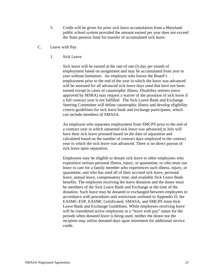- 5. Credit will be given for prior sick leave accumulation from a Maryland public school system provided the amount earned per year does not exceed the State pension limit for transfer of accumulated sick leave.
- C. Leave with Pay
	- 1. Sick Leave

Sick leave will be earned at the rate of one (l) day per month of employment based on assignment and may be accumulated from year to year without limitation. An employee who leaves the Board's employment prior to the end of the year in which the leave was advanced will be assessed for all advanced sick leave days used that have not been earned except in cases of catastrophic illness. Disability retirees (once approved by MSRA) may request a waiver of the proration of sick leave if a full contract year is not fulfilled. The Sick Leave Bank and Exchange Steering Committee will define catastrophic illness and develop eligibility criteria guidelines for sick leave bank and exchange participants, which can include members of SMASA.

An employee who separates employment from SMCPS prior to the end of a contract year in which unearned sick leave was advanced in July will have their sick leave prorated based on the date of separation and calculated based on the number of contract days employed in the contract year in which the sick leave was advanced. There is no direct payout of sick leave upon separation.

Employees may be eligible to donate sick leave to other employees who experience serious personal illness, injury, or quarantine, or who must use leave to care for a family member who experiences such illness, injury, or quarantine, and who has used all of their accrued sick leave, personal leave, annual leave, compensatory time, and available Sick Leave Bank benefits. The employee receiving the leave donation and the donor must be members of the Sick Leave Bank and Exchange at the time of the donation. Such leave may be donated or exchanged between employees in accordance with procedures and restrictions outlined in Appendix D, the EASMC-ESP, EASMC Certificated, SMASA, and SMCPS Joint Sick Leave Bank and Exchange Guidelines. While employees receiving leave will be considered active employees in a "leave with pay" status for the periods when donated leave is being used, neither the donor nor the recipient may utilize donated days upon retirement for additional service credit.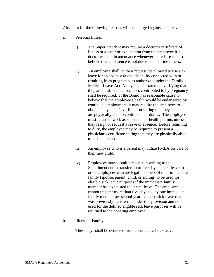Absences for the following reasons will be charged against sick leave.

- a. Personal Illness
	- i) The Superintendent may require a doctor's certificate of illness or a letter of explanation from the employee if a doctor was not in attendance whenever there is reason to believe that an absence is not due to a bona fide illness.
	- ii) An employee shall, at their request, be allowed to use sick leave for an absence due to disability connected with or resulting from pregnancy as authorized under the Family Medical Leave Act. A physician's statement verifying that they are disabled due to causes contributed to by pregnancy shall be required. If the Board has reasonable cause to believe that the employee's health would be endangered by continued employment, it may require the employee to obtain a physician's verification stating that they are physically able to continue their duties. The employee must return to work as soon as their health permits unless they resign or request a leave of absence. Before returning to duty, the employee may be required to present a physician's certificate stating that they are physically able to resume their duties.
	- iii) An employee who is a parent may utilize FMLA for care of their new child.
	- iv) Employees may submit a request in writing to the Superintendent to transfer up to five days of sick leave to other employees who are legal members of their immediate family (spouse, parent, child, or sibling) to be used for eligible sick leave purposes if the immediate family member has exhausted their sick leave. The employee cannot transfer more than five days to any one immediate family member per school year. Unused sick leave that was previously transferred under this provision and not used for the defined eligible sick leave purposes will be returned to the donating employee.
- b. Illness in Family

These days shall be deducted from accumulated sick leave.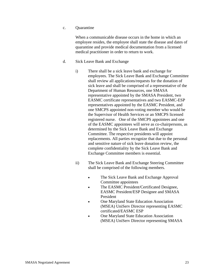c. Quarantine

When a communicable disease occurs in the home in which an employee resides, the employee shall state the disease and dates of quarantine and provide medical documentation from a licensed medical practitioner in order to return to work.

- d. Sick Leave Bank and Exchange
	- i) There shall be a sick leave bank and exchange for employees. The Sick Leave Bank and Exchange Committee shall review all applications/requests for the donation of sick leave and shall be comprised of a representative of the Department of Human Resources, one SMASA representative appointed by the SMASA President, two EASMC certificate representatives and two EASMC-ESP representatives appointed by the EASMC President, and one SMCPS appointed non-voting member who would be the Supervisor of Health Services or an SMCPS licensed registered nurse. One of the SMCPS appointees and one of the EASMC appointees will serve as co-chairpersons, as determined by the Sick Leave Bank and Exchange Committee. The respective presidents will appoint replacements. All parties recognize that due to the personal and sensitive nature of sick leave donation review, the complete confidentiality by the Sick Leave Bank and Exchange Committee members is essential.
	- ii) The Sick Leave Bank and Exchange Steering Committee shall be comprised of the following members.
		- The Sick Leave Bank and Exchange Approval Committee appointees
		- The EASMC President/Certificated Designee, EASMC President/ESP Designee and SMASA President
		- One Maryland State Education Association (MSEA) UniServ Director representing EASMC certificated/EASMC ESP
		- One Maryland State Education Association (MSEA) UniServ Director representing SMASA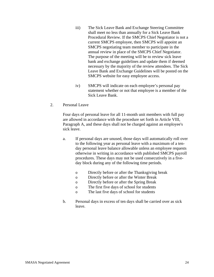- iii) The Sick Leave Bank and Exchange Steering Committee shall meet no less than annually for a Sick Leave Bank Procedural Review. If the SMCPS Chief Negotiator is not a current SMCPS employee, then SMCPS will appoint an SMCPS negotiating team member to participate in the annual review in place of the SMCPS Chief Negotiator. The purpose of the meeting will be to review sick leave bank and exchange guidelines and update them if deemed necessary by the majority of the review attendees. The Sick Leave Bank and Exchange Guidelines will be posted on the SMCPS website for easy employee access.
- iv) SMCPS will indicate on each employee's personal pay statement whether or not that employee is a member of the Sick Leave Bank.
- 2. Personal Leave

Four days of personal leave for all 11-month unit members with full pay are allowed in accordance with the procedure set forth in Article VIII, Paragraph A, and these days shall not be charged against an employee's sick leave.

- a. If personal days are unused, those days will automatically roll over to the following year as personal leave with a maximum of a tenday personal leave balance allowable unless an employee requests otherwise in writing in accordance with published SMCPS payroll procedures. These days may not be used consecutively in a fiveday block during any of the following time periods.
	- o Directly before or after the Thanksgiving break
	- o Directly before or after the Winter Break
	- o Directly before or after the Spring Break
	- o The first five days of school for students
	- o The last five days of school for students
- b. Personal days in excess of ten days shall be carried over as sick leave.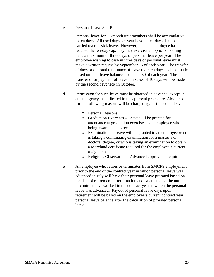#### c. Personal Leave Sell Back

Personal leave for 11-month unit members shall be accumulative to ten days. All used days per year beyond ten days shall be carried over as sick leave. However, once the employee has reached the ten-day cap, they may exercise an option of selling back a maximum of three days of personal leave per year. The employee wishing to cash in three days of personal leave must make a written request by September 15 of each year. The transfer of days or optional remittance of leave over ten days shall be made based on their leave balance as of June 30 of each year. The transfer of or payment of leave in excess of 10 days will be made by the second paycheck in October.

- d. Permission for such leave must be obtained in advance, except in an emergency, as indicated in the approval procedure. Absences for the following reasons will be charged against personal leave.
	- o Personal Reasons
	- o Graduation Exercises Leave will be granted for attendance at graduation exercises to an employee who is being awarded a degree.
	- o Examinations Leave will be granted to an employee who is taking a culminating examination for a master's or doctoral degree, or who is taking an examination to obtain a Maryland certificate required for the employee's current assignment.
	- o Religious Observation Advanced approval is required.
- e. An employee who retires or terminates from SMCPS employment prior to the end of the contract year in which personal leave was advanced in July will have their personal leave prorated based on the date of retirement or termination and calculated on the number of contract days worked in the contract year in which the personal leave was advanced. Payout of personal leave days upon retirement will be based on the employee's current contract year personal leave balance after the calculation of prorated personal leave.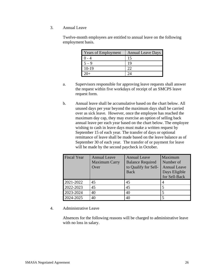3. Annual Leave

Twelve-month employees are entitled to annual leave on the following employment basis.

| <b>Years of Employment</b> | <b>Annual Leave Days</b> |
|----------------------------|--------------------------|
|                            |                          |
|                            |                          |
| $10-19$                    |                          |
|                            |                          |

- a. Supervisors responsible for approving leave requests shall answer the request within five workdays of receipt of an SMCPS leave request form.
- b. Annual leave shall be accumulative based on the chart below. All unused days per year beyond the maximum days shall be carried over as sick leave. However, once the employee has reached the maximum day cap, they may exercise an option of selling back annual leave per each year based on the chart below. The employee wishing to cash in leave days must make a written request by September 15 of each year. The transfer of days or optional remittance of leave shall be made based on the leave balance as of September 30 of each year. The transfer of or payment for leave will be made by the second paycheck in October.

| <b>Fiscal Year</b> | <b>Annual Leave</b><br><b>Maximum Carry</b><br>Over | <b>Annual Leave</b><br><b>Balance Required</b><br>to Qualify for Sell-<br><b>Back</b> | Maximum<br>Number of<br><b>Annual Leave</b><br>Days Eligible<br>for Sell-Back |
|--------------------|-----------------------------------------------------|---------------------------------------------------------------------------------------|-------------------------------------------------------------------------------|
| 2021-2022          | 45                                                  | 45                                                                                    | $\overline{A}$                                                                |
| 2022-2023          | 45                                                  | 45                                                                                    |                                                                               |
| 2023-2024          | 40                                                  | 40                                                                                    |                                                                               |
| 2024-2025          | 40                                                  | 40                                                                                    |                                                                               |

#### 4. Administrative Leave

Absences for the following reasons will be charged to administrative leave with no loss in salary.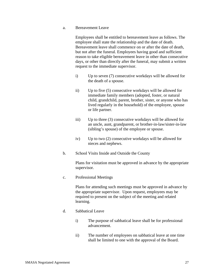a. Bereavement Leave

Employees shall be entitled to bereavement leave as follows. The employee shall state the relationship and the date of death. Bereavement leave shall commence on or after the date of death, but not after the funeral. Employees having good and sufficient reason to take eligible bereavement leave in other than consecutive days, or other than directly after the funeral, may submit a written request to the immediate supervisor.

- i) Up to seven (7) consecutive workdays will be allowed for the death of a spouse.
- ii) Up to five (5) consecutive workdays will be allowed for immediate family members (adopted, foster, or natural child, grandchild, parent, brother, sister, or anyone who has lived regularly in the household) of the employee, spouse or life partner.
- iii) Up to three (3) consecutive workdays will be allowed for an uncle, aunt, grandparent, or brother-in-law/sister-in-law (sibling's spouse) of the employee or spouse.
- iv) Up to two (2) consecutive workdays will be allowed for nieces and nephews.
- b. School Visits Inside and Outside the County

Plans for visitation must be approved in advance by the appropriate supervisor.

c. Professional Meetings

Plans for attending such meetings must be approved in advance by the appropriate supervisor. Upon request, employees may be required to present on the subject of the meeting and related learning.

- d. Sabbatical Leave
	- i) The purpose of sabbatical leave shall be for professional advancement.
	- ii) The number of employees on sabbatical leave at one time shall be limited to one with the approval of the Board.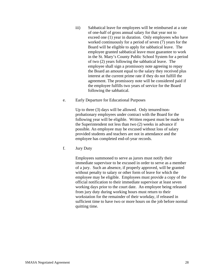- iii) Sabbatical leave for employees will be reimbursed at a rate of one-half of gross annual salary for that year not to exceed one (1) year in duration. Only employees who have worked continuously for a period of seven (7) years for the Board will be eligible to apply for sabbatical leave. The employee granted sabbatical leave must guarantee to work in the St. Mary's County Public School System for a period of two (2) years following the sabbatical leave. The employee shall sign a promissory note agreeing to repay the Board an amount equal to the salary they received plus interest at the current prime rate if they do not fulfill the agreement. The promissory note will be considered paid if the employee fulfills two years of service for the Board following the sabbatical.
- e. Early Departure for Educational Purposes

Up to three (3) days will be allowed. Only tenured/nonprobationary employees under contract with the Board for the following year will be eligible. Written request must be made to the Superintendent not less than two (2) weeks in advance if possible. An employee may be excused without loss of salary provided students and teachers are not in attendance and the employee has completed end-of-year records.

f. Jury Duty

Employees summoned to serve as jurors must notify their immediate supervisor to be excused in order to serve as a member of a jury. Such an absence, if properly approved, will be granted without penalty to salary or other form of leave for which the employee may be eligible. Employees must provide a copy of the official notification to their immediate supervisor at least seven working days prior to the court date. An employee being released from jury duty during working hours must return to their workstation for the remainder of their workday, if released in sufficient time to have two or more hours on the job before normal quitting time.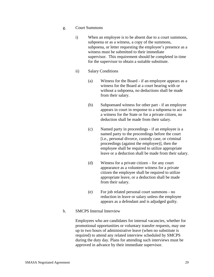- g. Court Summons
	- i) When an employee is to be absent due to a court summons, subpoena or as a witness, a copy of the summons, subpoena, or letter requesting the employee's presence as a witness must be submitted to their immediate supervisor. This requirement should be completed in time for the supervisor to obtain a suitable substitute.
	- ii) Salary Conditions
		- (a) Witness for the Board if an employee appears as a witness for the Board at a court hearing with or without a subpoena, no deductions shall be made from their salary.
		- (b) Subpoenaed witness for other part if an employee appears in court in response to a subpoena to act as a witness for the State or for a private citizen, no deduction shall be made from their salary.
		- (c) Named party in proceedings if an employee is a named party to the proceedings before the court [i.e., personal divorce, custody case, or criminal proceedings (against the employee)], then the employee shall be required to utilize appropriate leave or a deduction shall be made from their salary.
		- (d) Witness for a private citizen for any court appearance as a volunteer witness for a private citizen the employee shall be required to utilize appropriate leave, or a deduction shall be made from their salary.
		- (e) For job related personal court summons no reduction in leave or salary unless the employee appears as a defendant and is adjudged guilty.
- h. SMCPS Internal Interview

Employees who are candidates for internal vacancies, whether for promotional opportunities or voluntary transfer requests, may use up to two hours of administrative leave (when no substitute is required) to attend any related interview scheduled by SMCPS during the duty day. Plans for attending such interviews must be approved in advance by their immediate supervisor.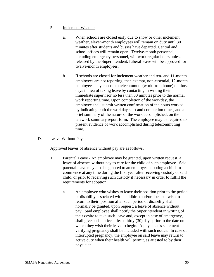- 5. Inclement Weather
	- a. When schools are closed early due to snow or other inclement weather, eleven-month employees will remain on duty until 30 minutes after students and busses have departed. Central and school offices will remain open. Twelve-month personnel, including emergency personnel, will work regular hours unless released by the Superintendent. Liberal leave will be approved for twelve-month employees.
	- b. If schools are closed for inclement weather and ten- and 11-month employees are not reporting, then exempt, non-essential, 12-month employees may choose to telecommute (work from home) on those days in lieu of taking leave by contacting in writing their immediate supervisor no less than 30 minutes prior to the normal work reporting time. Upon completion of the workday, the employee shall submit written confirmation of the hours worked by indicating both the workday start and completion times, and a brief summary of the nature of the work accomplished, on the telework summary report form. The employee may be required to present evidence of work accomplished during telecommuting time.
- D. Leave Without Pay

Approved leaves of absence without pay are as follows.

- 1. Parental Leave An employee may be granted, upon written request, a leave of absence without pay to care for the child of such employee. Said parental leave may also be granted to an employee adopting a child, to commence at any time during the first year after receiving custody of said child, or prior to receiving such custody if necessary in order to fulfill the requirements for adoption.
	- a. An employee who wishes to leave their position prior to the period of disability associated with childbirth and/or does not wish to return to their position after such period of disability shall normally be granted, upon request, a leave of absence without pay. Said employee shall notify the Superintendent in writing of their desire to take such leave and, except in case of emergency, shall give such notice at least thirty (30) days prior to the date on which they wish their leave to begin. A physician's statement verifying pregnancy shall be included with such notice. In case of interrupted pregnancy, the employee on said leave may return to active duty when their health will permit, as attested to by their physician.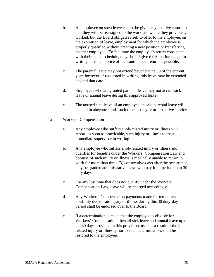- b. An employee on such leave cannot be given any positive assurance that they will be reassigned to the work site where they previously worked, but the Board obligates itself to offer to the employee, on the expiration of leave, employment for which the employee is properly qualified without creating a new position or transferring another employee. To facilitate the employee's return consistent with their stated schedule, they should give the Superintendent, in writing, as much notice of their anticipated return as possible.
- c. The parental leave may not extend beyond June 30 of the current year; however, if requested in writing, this leave may be extended beyond that date.
- d. Employees who are granted parental leave may not accrue sick leave or annual leave during this approved leave.
- e. The unused sick leave of an employee on said parental leave will be held in abeyance until such time as they return to active service.
- 2. Workers' Compensation
	- a. Any employee who suffers a job-related injury or illness will report, as soon as practicable, such injury or illness to their immediate supervisor in writing.
	- b. Any employee who suffers a job-related injury or illness and qualifies for benefits under the Workers' Compensation Law and because of such injury or illness is medically unable to return to work for more than three (3) consecutive days after the occurrence, may be granted administrative leave with pay for a period up to 30 duty days.
	- c. For any lost time that does not qualify under the Workers' Compensation Law, leave will be charged accordingly.
	- d. Any Workers' Compensation payments made for temporary disability due to said injury or illness during this 30 duty-day period shall be endorsed over to the Board.
	- e. If a determination is made that the employee is eligible for Workers' Compensation, then all sick leave and annual leave up to the 30 days provided in this provision, used as a result of the jobrelated injury or illness prior to such determination, shall be restored to the employee.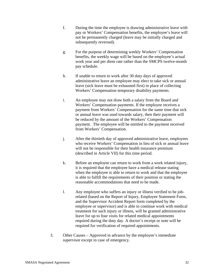- f. During the time the employee is drawing administrative leave with pay or Workers' Compensation benefits, the employee's leave will not be permanently charged (leave may be initially charged and subsequently reversed).
- g. For the purpose of determining weekly Workers' Compensation benefits, the weekly wage will be based on the employee's actual work year and per diem rate rather than the SMCPS twelve-month pay schedule.
- h. If unable to return to work after 30 duty days of approved administrative leave an employee may elect to take sick or annual leave (sick leave must be exhausted first) in place of collecting Workers' Compensation temporary disability payments.
- i. An employee may not draw both a salary from the Board and Workers' Compensation payments. If the employee receives a payment from Workers' Compensation for the same time that sick or annual leave was used towards salary, then their payment will be reduced by the amount of the Workers' Compensation payment. The employee will be entitled to the payment received from Workers' Compensation.
- j. After the thirtieth day of approved administrative leave, employees who receive Workers' Compensation in lieu of sick or annual leave will not be responsible for their health insurance premium (described in Article VII) for this time period.
- k. Before an employee can return to work from a work related injury, it is required that the employee have a medical release stating when the employee is able to return to work and that the employee is able to fulfill the requirements of their position or stating the reasonable accommodations that need to be made.
- l. Any employee who suffers an injury or illness verified to be jobrelated (based on the Report of Injury, Employee Statement Form, and the Supervisor Accident Report form completed by the employee or supervisor) and is able to continue work with medical treatment for such injury or illness, will be granted administrative leave for up to four visits for related medical appointments required during the duty day. A doctor's receipt or note will be required for verification of required appointments.
- 3. Other Causes Approved in advance by the employee's immediate supervisor except in case of emergency.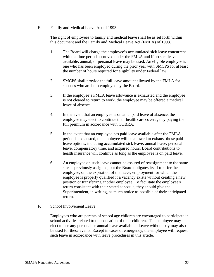E. Family and Medical Leave Act of 1993

The right of employees to family and medical leave shall be as set forth within this document and the Family and Medical Leave Act (FMLA) of 1993.

- 1. The Board will charge the employee's accumulated sick leave concurrent with the time period approved under the FMLA and if no sick leave is available, annual, or personal leave may be used. An eligible employee is one who has been employed during the prior year with SMCPS for at least the number of hours required for eligibility under Federal law.
- 2. SMCPS shall provide the full leave amount allowed by the FMLA for spouses who are both employed by the Board.
- 3. If the employee's FMLA leave allowance is exhausted and the employee is not cleared to return to work, the employee may be offered a medical leave of absence.
- 4. In the event that an employee is on an unpaid leave of absence, the employee may elect to continue their health care coverage by paying the full premium in accordance with COBRA.
- 5. In the event that an employee has paid leave available after the FMLA period is exhausted, the employee will be allowed to exhaust those paid leave options, including accumulated sick leave, annual leave, personal leave, compensatory time, and acquired hours. Board contributions to health insurance will continue as long as the employee is on paid leave.
- 6. An employee on such leave cannot be assured of reassignment to the same site as previously assigned, but the Board obligates itself to offer the employee, on the expiration of the leave, employment for which the employee is properly qualified if a vacancy exists without creating a new position or transferring another employee. To facilitate the employee's return consistent with their stated schedule, they should give the Superintendent, in writing, as much notice as possible of their anticipated return.
- F. School Involvement Leave

Employees who are parents of school age children are encouraged to participate in school activities related to the education of their children. The employee may elect to use any personal or annual leave available. Leave without pay may also be used for these events. Except in cases of emergency, the employee will request such leave in accordance with leave procedures in this article.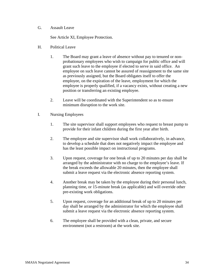## G. Assault Leave

See Article XI, Employee Protection.

- H. Political Leave
	- 1. The Board may grant a leave of absence without pay to tenured or nonprobationary employees who wish to campaign for public office and will grant such leave to the employee if elected to serve in said office. An employee on such leave cannot be assured of reassignment to the same site as previously assigned, but the Board obligates itself to offer the employee, on the expiration of the leave, employment for which the employee is properly qualified, if a vacancy exists, without creating a new position or transferring an existing employee.
	- 2. Leave will be coordinated with the Superintendent so as to ensure minimum disruption to the work site.
- I. Nursing Employees
	- 1. The site supervisor shall support employees who request to breast pump to provide for their infant children during the first year after birth.
	- 2. The employee and site supervisor shall work collaboratively, in advance, to develop a schedule that does not negatively impact the employee and has the least possible impact on instructional programs.
	- 3. Upon request, coverage for one break of up to 20 minutes per day shall be arranged by the administrator with no charge to the employee's leave. If the break exceeds the allowable 20 minutes, then the employee shall submit a leave request via the electronic absence reporting system.
	- 4. Another break may be taken by the employee during their personal lunch, planning time, or 15-minute break (as applicable) and will override other pre-existing work obligations.
	- 5. Upon request, coverage for an additional break of up to 20 minutes per day shall be arranged by the administrator for which the employee shall submit a leave request via the electronic absence reporting system.
	- 6. The employee shall be provided with a clean, private, and secure environment (not a restroom) at the work site.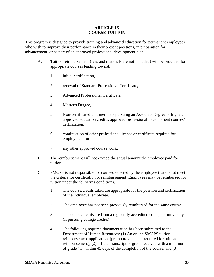## **ARTICLE IX COURSE TUITION**

This program is designed to provide training and advanced education for permanent employees who wish to improve their performance in their present positions, in preparation for advancement, or as part of an approved professional development plan.

- A. Tuition reimbursement (fees and materials are not included) will be provided for appropriate courses leading toward:
	- 1. initial certification,
	- 2. renewal of Standard Professional Certificate,
	- 3. Advanced Professional Certificate,
	- 4. Master's Degree,
	- 5. Non-certificated unit members pursuing an Associate Degree or higher, approved education credits, approved professional development courses/ certification.
	- 6. continuation of other professional license or certificate required for employment, or
	- 7. any other approved course work.
- B. The reimbursement will not exceed the actual amount the employee paid for tuition.
- C. SMCPS is not responsible for courses selected by the employee that do not meet the criteria for certification or reimbursement. Employees may be reimbursed for tuition under the following conditions.
	- 1. The course/credits taken are appropriate for the position and certification of the individual employee.
	- 2. The employee has not been previously reimbursed for the same course.
	- 3. The course/credits are from a regionally accredited college or university (if pursuing college credits).
	- 4. The following required documentation has been submitted to the Department of Human Resources: (1) An online SMCPS tuition reimbursement application (pre-approval is not required for tuition reimbursement), (2) official transcript of grade received with a minimum of grade "C" within 45 days of the completion of the course, and (3)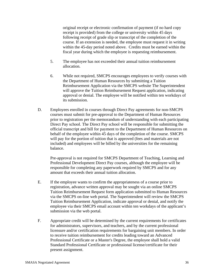original receipt or electronic confirmation of payment (if no hard copy receipt is provided) from the college or university within 45 days following receipt of grade slip or transcript of the completion of the course. If an extension is needed, the employee must request it in writing within the 45-day period noted above. Credits must be earned within the fiscal year during which the employee is requesting reimbursement.

- 5. The employee has not exceeded their annual tuition reimbursement allocation.
- 6. While not required, SMCPS encourages employees to verify courses with the Department of Human Resources by submitting a Tuition Reimbursement Application via the SMCPS website The Superintendent will approve the Tuition Reimbursement Request application, indicating approval or denial. The employee will be notified within ten workdays of its submission.
- D. Employees enrolled in courses through Direct Pay agreements for non-SMCPS courses must submit for pre-approval to the Department of Human Resources prior to registration per the memorandum of understanding with each participating Direct Pay school. The Direct Pay school will be responsible for submitting the official transcript and bill for payment to the Department of Human Resources on behalf of the employee within 45 days of the completion of the course. SMCPS will pay for the portion of tuition that is approved (fees and materials are not included) and employees will be billed by the universities for the remaining balance.

Pre-approval is not required for SMCPS Department of Teaching, Learning and Professional Development Direct Pay courses, although the employee will be responsible for completing any paperwork required by SMCPS and for any amount that exceeds their annual tuition allocation.

- E. If the employee wants to confirm the appropriateness of a course prior to registration, advance written approval may be sought via an online SMCPS Tuition Reimbursement Request form application submitted to Human Resources via the SMCPS on-line web portal. The Superintendent will review the SMCPS Tuition Reimbursement Application, indicate approval or denial, and notify the employee via their SMCPS email account within ten workdays of the applicant's submission via the web portal.
- F. Appropriate credit will be determined by the current requirements for certificates for administrators, supervisors, and teachers, and by the current professional licensure and/or certification requirements for bargaining unit members. In order to receive tuition reimbursement for credits leading toward an Advanced Professional Certificate or a Master's Degree, the employee shall hold a valid Standard Professional Certificate or professional license/certificate for their present assignment.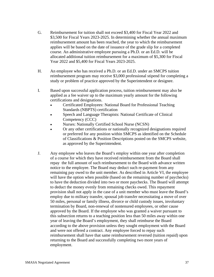- G. Reimbursement for tuition shall not exceed \$3,400 for Fiscal Year 2022 and \$3,500 for Fiscal Years 2023-2025. In determining whether the annual maximum reimbursement amount has been reached, the year to which the reimbursement applies will be based on the date of issuance of the grade slip for a completed course. An administrative employee pursuing a Ph.D. or an Ed.D. will be allocated additional tuition reimbursement for a maximum of \$5,300 for Fiscal Year 2022 and \$5,400 for Fiscal Years 2023-2025.
- H. An employee who has received a Ph.D. or an Ed.D. under an SMCPS tuition reimbursement program may receive \$3,000 professional stipend for completing a study or problem of practice approved by the Superintendent or designee.
- I. Based upon successful application process, tuition reimbursement may also be applied as a fee waiver up to the maximum yearly amount for the following certifications and designations.
	- Certificated Employees: National Board for Professional Teaching Standards (NBPTS) certification
	- Speech and Language Therapists: National Certificate of Clinical Competency (CCC)
	- Nurses: Nationally Certified School Nurse (NCSN)
	- Or any other certifications or nationally recognized designations required or preferred for any position within SMCPS as identified on the Schedule of Classifications & Position Descriptions posted on the SMCPS website, as approved by the Superintendent.
- J. Any employee who leaves the Board's employ within one year after completion of a course for which they have received reimbursement from the Board shall repay the full amount of such reimbursement to the Board with advance written notice to the employee. The Board may deduct such re-payment from any remaining pay owed to the unit member. As described in Article VI, the employee will have the option when possible (based on the remaining number of paychecks) to have the deduction divided into two or more paychecks. The Board will attempt to deduct the money evenly from remaining checks owed. This repayment provision shall not apply in the case of a unit member who must leave the Board's employ due to military transfer, spousal job transfer necessitating a move of over 50 miles, personal or family illness, divorce or child custody issues, involuntary termination by Board, non-renewal of nontenured employees, or other cause approved by the Board. If the employee who was granted a waiver pursuant to this subsection returns to a teaching position less than 50 miles away within one year of leaving the Board's employment, they shall reimburse the Board according to the above provision unless they sought employment with the Board and were not offered a contract. Any employee forced to repay such reimbursement shall have that same reimbursement reversed (tuition repaid) upon returning to the Board and successfully completing two more years of employment.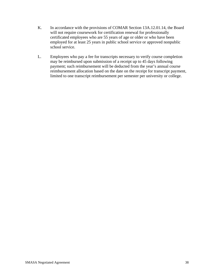- K. In accordance with the provisions of COMAR Section 13A.12.01.14, the Board will not require coursework for certification renewal for professionally certificated employees who are 55 years of age or older or who have been employed for at least 25 years in public school service or approved nonpublic school service.
- L. Employees who pay a fee for transcripts necessary to verify course completion may be reimbursed upon submission of a receipt up to 45 days following payment; such reimbursement will be deducted from the year's annual course reimbursement allocation based on the date on the receipt for transcript payment, limited to one transcript reimbursement per semester per university or college.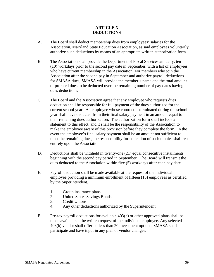# **ARTICLE X DEDUCTIONS**

- A. The Board shall deduct membership dues from employees' salaries for the Association, Maryland State Education Association, as said employees voluntarily authorize such deductions by means of an appropriate written authorization form.
- B. The Association shall provide the Department of Fiscal Services annually, ten (10) workdays prior to the second pay date in September, with a list of employees who have current membership in the Association. For members who join the Association after the second pay in September and authorize payroll deductions for SMASA dues, SMASA will provide the member's name and the total amount of prorated dues to be deducted over the remaining number of pay dates having dues deductions.
- C. The Board and the Association agree that any employee who requests dues deduction shall be responsible for full payment of the dues authorized for the current school year. An employee whose contract is terminated during the school year shall have deducted from their final salary payment in an amount equal to their remaining dues authorization. The authorization form shall include a statement to this effect, and it shall be the responsibility of the Association to make the employee aware of this provision before they complete the form. In the event the employee's final salary payment shall be an amount not sufficient to meet the remaining dues, the responsibility for collection of such monies shall rest entirely upon the Association.
- D. Deductions shall be withheld in twenty-one (21) equal consecutive installments beginning with the second pay period in September. The Board will transmit the dues deducted to the Association within five (5) workdays after each pay date.
- E. Payroll deduction shall be made available at the request of the individual employee providing a minimum enrollment of fifteen (15) employees as certified by the Superintendent.
	- 1. Group insurance plans
	- 2. United States Savings Bonds
	- 3. Credit Unions
	- 4. Any other deductions authorized by the Superintendent
- F. Pre-tax payroll deductions for available 403(b) or other approved plans shall be made available at the written request of the individual employee. Any selected 403(b) vendor shall offer no less than 20 investment options. SMASA shall participate and have input in any plan or vendor changes.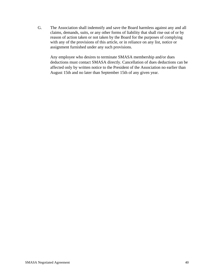G. The Association shall indemnify and save the Board harmless against any and all claims, demands, suits, or any other forms of liability that shall rise out of or by reason of action taken or not taken by the Board for the purposes of complying with any of the provisions of this article, or in reliance on any list, notice or assignment furnished under any such provisions.

Any employee who desires to terminate SMASA membership and/or dues deductions must contact SMASA directly. Cancellation of dues deductions can be affected only by written notice to the President of the Association no earlier than August 15th and no later than September 15th of any given year.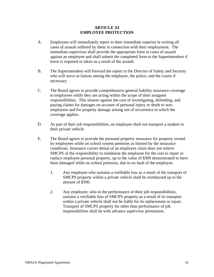## **ARTICLE XI EMPLOYEE PROTECTION**

- A. Employees will immediately report to their immediate superior in writing all cases of assault suffered by them in connection with their employment. The immediate supervisor shall provide the appropriate form in cases of assault against an employee and shall submit the completed form to the Superintendent if leave is required or taken as a result of the assault.
- B. The Superintendent will forward the report to the Director of Safety and Security who will serve as liaison among the employee, the police, and the courts if necessary.
- C. The Board agrees to provide comprehensive general liability insurance coverage to employees while they are acting within the scope of their assigned responsibilities. This insures against the cost of investigating, defending, and paying claims for damages on account of personal injury or death to nonemployees and for property damage arising out of occurrence to which the coverage applies.
- D. As part of their job responsibilities, an employee shall not transport a student in their private vehicle.
- E. The Board agrees to provide the personal property insurance for property owned by employees while on school system premises as limited by the insurance conditions. Insurance carrier denial of an employee claim does not relieve SMCPS of the responsibility to reimburse the employee for the cost to repair or replace employee personal property, up to the value of \$300 demonstrated to have been damaged while on school premises, due to no fault of the employee.
	- 1. Any employee who sustains a verifiable loss as a result of the transport of SMCPS property within a private vehicle shall be reimbursed up to the amount of \$300.
	- 2. Any employee, who in the performance of their job responsibilities, sustains a verifiable loss of SMCPS property as a result of its transport within a private vehicle shall not be liable for its replacement or repair. Transport of SMCPS property for other than performance of job responsibilities shall be with advance supervisor permission.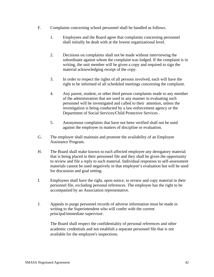- F. Complaints concerning school personnel shall be handled as follows.
	- 1. Employees and the Board agree that complaints concerning personnel shall initially be dealt with at the lowest organizational level.
	- 2. Decisions on complaints shall not be made without interviewing the subordinate against whom the complaint was lodged. If the complaint is in writing, the unit member will be given a copy and required to sign the material acknowledging receipt of the copy.
	- 3. In order to respect the rights of all persons involved, each will have the right to be informed of all scheduled meetings concerning the complaint.
	- 4. Any parent, student, or other third person complaints made to any member of the administration that are used in any manner in evaluating such personnel will be investigated and called to their attention, unless the investigation is being conducted by a law enforcement agency or the Department of Social Services/Child Protective Services .
	- 5. Anonymous complaints that have not been verified shall not be used against the employee in matters of discipline or evaluation.
- G. The employer shall maintain and promote the availability of an Employee Assistance Program.
- H. The Board shall make known to each affected employee any derogatory material that is being placed in their personnel file and they shall be given the opportunity to review and file a reply to such material. Individual responses to self-assessment materials cannot be used negatively in that employee's evaluation but will be used for discussion and goal setting.
- I. Employees shall have the right, upon notice, to review and copy material in their personnel file, excluding personal references. The employee has the right to be accompanied by an Association representative.
- J. Appeals to purge personnel records of adverse information must be made in writing to the Superintendent who will confer with the current principal/immediate supervisor.

The Board shall respect the confidentiality of personal references and other academic credentials and not establish a separate personnel file that is not available for the employee's inspections.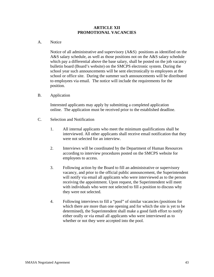### **ARTICLE XII PROMOTIONAL VACANCIES**

#### A. Notice

Notice of all administrative and supervisory (A&S) positions as identified on the A&S salary schedule, as well as those positions not on the A&S salary schedule which pay a differential above the base salary, shall be posted on the job vacancy bulletin board (Board's website) on the SMCPS electronic system. During the school year such announcements will be sent electronically to employees at the school or office site. During the summer such announcements will be distributed to employees via email. The notice will include the requirements for the position.

B. Application

Interested applicants may apply by submitting a completed application online. The application must be received prior to the established deadline.

- C. Selection and Notification
	- 1. All internal applicants who meet the minimum qualifications shall be interviewed. All other applicants shall receive email notification that they were not selected for an interview.
	- 2. Interviews will be coordinated by the Department of Human Resources according to interview procedures posted on the SMCPS website for employees to access.
	- 3. Following action by the Board to fill an administrative or supervisory vacancy, and prior to the official public announcement, the Superintendent will notify via email all applicants who were interviewed as to the person receiving the appointment. Upon request, the Superintendent will meet with individuals who were not selected to fill a position to discuss why they were not selected.
	- 4. Following interviews to fill a "pool" of similar vacancies (positions for which there are more than one opening and for which the site is yet to be determined), the Superintendent shall make a good faith effort to notify either orally or via email all applicants who were interviewed as to whether or not they were accepted into the pool.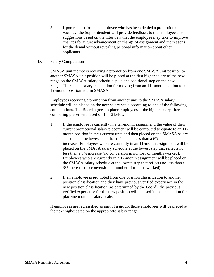- 5. Upon request from an employee who has been denied a promotional vacancy, the Superintendent will provide feedback to the employee as to suggestions based on the interview that the employee may take to improve chances for future advancement or change of assignment and the reasons for the denial without revealing personal information about other applicants.
- D. Salary Computation

SMASA unit members receiving a promotion from one SMASA unit position to another SMASA unit position will be placed at the first higher salary of the new range on the SMASA salary schedule, plus one additional step on the new range. There is no salary calculation for moving from an 11-month position to a 12-month position within SMASA.

Employees receiving a promotion from another unit to the SMASA salary schedule will be placed on the new salary scale according to one of the following computations. The Board agrees to place employees at the higher salary after comparing placement based on 1 or 2 below.

- 1. If the employee is currently in a ten-month assignment, the value of their current promotional salary placement will be computed to equate to an 11 month position in their current unit, and then placed on the SMASA salary schedule at the lowest step that reflects no less than a 6% increase. Employees who are currently in an 11-month assignment will be placed on the SMASA salary schedule at the lowest step that reflects no less than a 6% increase (no conversion in number of months worked). Employees who are currently in a 12-month assignment will be placed on the SMASA salary schedule at the lowest step that reflects no less than a 3% increase (no conversion in number of months worked).
- 2. If an employee is promoted from one position classification to another position classification and they have previous verified experience in the new position classification (as determined by the Board), the previous verified experience for the new position will be used in the calculation for placement on the salary scale.

If employees are reclassified as part of a group, those employees will be placed at the next highest step on the appropriate salary range.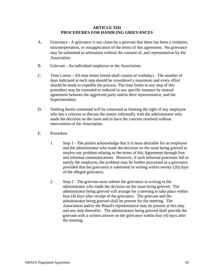#### **ARTICLE XIII PROCEDURES FOR HANDLING GRIEVANCES**

- A. Grievance A grievance is any claim by a grievant that there has been a violation, misinterpretation, or misapplication of the terms of this agreement. No grievance may be submitted to arbitration without the consent of, and representation by the Association.
- B. Grievant An individual employee or the Association.
- C. Time Limits All time limits herein shall consist of workdays. The number of days indicated at each step should be considered a maximum and every effort should be made to expedite the process. The time limits in any step of this procedure may be extended or reduced in any specific instance by mutual agreement between the aggrieved party and/or their representative, and the Superintendent.
- D. Nothing herein contained will be construed as limiting the right of any employee who has a concern to discuss the matter informally with the administrator who made the decision on the issue and to have the concern resolved without intervention of the Association.
- E. Procedure
	- 1. Step 1 The parties acknowledge that it is most desirable for an employee and the administrator who made the decision on the issue being grieved to resolve any problem relating to the terms of this Agreement through free and informal communications. However, if such informal processes fail to satisfy the employee, the problem may be further processed as a grievance provided that the grievance is submitted in writing within twenty (20) days of the alleged grievance.
	- 2. Step 2 The grievant must submit the grievance in writing to the administrator who made the decision on the issue being grieved. The administrator being grieved will arrange for a meeting to take place within four (4) days after receipt of the grievance. The grievant and the administrator being grieved shall be present for the meeting. The Association and/or the Board's representative may be present at this step and any step thereafter. The administrator being grieved shall provide the grievant with a written answer on the grievance within four (4) days after the meeting.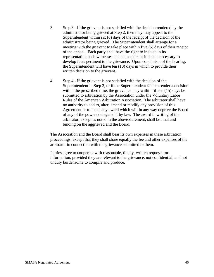- 3. Step 3 If the grievant is not satisfied with the decision rendered by the administrator being grieved at Step 2, then they may appeal to the Superintendent within six (6) days of the receipt of the decision of the administrator being grieved. The Superintendent shall arrange for a meeting with the grievant to take place within five (5) days of their receipt of the appeal. Each party shall have the right to include in its representation such witnesses and counselors as it deems necessary to develop facts pertinent to the grievance. Upon conclusion of the hearing, the Superintendent will have ten (10) days in which to provide their written decision to the grievant.
- 4. Step 4 If the grievant is not satisfied with the decision of the Superintendent in Step 3, or if the Superintendent fails to render a decision within the prescribed time, the grievance may within fifteen (15) days be submitted to arbitration by the Association under the Voluntary Labor Rules of the American Arbitration Association. The arbitrator shall have no authority to add to, alter, amend or modify any provision of this Agreement or to make any award which will in any way deprive the Board of any of the powers delegated it by law. The award in writing of the arbitrator, except as noted in the above statement, shall be final and binding on the aggrieved and the Board.

The Association and the Board shall bear its own expenses in these arbitration proceedings, except that they shall share equally the fee and other expenses of the arbitrator in connection with the grievance submitted to them.

Parties agree to cooperate with reasonable, timely, written requests for information, provided they are relevant to the grievance, not confidential, and not unduly burdensome to compile and produce.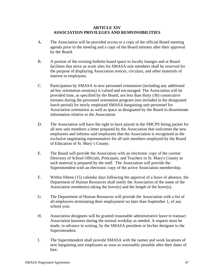#### **ARTICLE XIV ASSOCIATION PRIVILEGES AND RESPONSIBILITIES**

- A. The Association will be provided access to a copy of the official Board meeting agenda prior to the meeting and a copy of the Board minutes after their approval by the Board.
- B. A portion of the existing bulletin board space in faculty lounges and at Board facilities that serve as work sites for SMASA unit members shall be reserved for the purpose of displaying Association notices, circulars, and other materials of interest to employees.
- C. Participation by SMASA in new personnel orientation (including any additional ad hoc orientation sessions) is valued and encouraged. The Association will be provided time, as specified by the Board, not less than thirty (30) consecutive minutes during the personnel orientation program (not included in the designated lunch period) for newly employed SMASA bargaining unit personnel for Association orientation as well as space as designated by the Board to disseminate information relative to the Association.
- D. The Association will have the right to have placed in the SMCPS hiring packet for all new unit members a letter prepared by the Association that welcomes the new employees and informs said employees that the Association is recognized as the exclusive negotiating representative for all unit members employed by the Board of Education of St. Mary's County.
- E. The Board will provide the Association with an electronic copy of the current Directory of School Officials, Principals, and Teachers in St. Mary's County as such material is prepared by the staff. The Association will provide the Superintendent with an electronic copy of the active Association membership.
- F. Within fifteen (15) calendar days following the approval of a leave of absence, the Department of Human Resources shall notify the Association of the name of the Association member(s) taking the leave(s) and the length of the leave(s).
- G. The Department of Human Resources will provide the Association with a list of all employees terminating their employment no later than September 1, of any school year.
- H. Association designees will be granted reasonable administrative leave to transact Association business during the normal workday as needed. A request must be made, in advance in writing, by the SMASA president or his/her designee to the Superintendent.
- I. The Superintendent shall provide SMASA with the names and work locations of new bargaining unit employees as soon as reasonably possible after their dates of hire.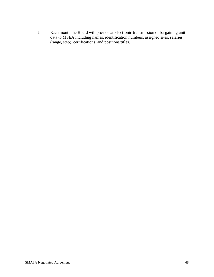J. Each month the Board will provide an electronic transmission of bargaining unit data to MSEA including names, identification numbers, assigned sites, salaries (range, step), certifications, and positions/titles.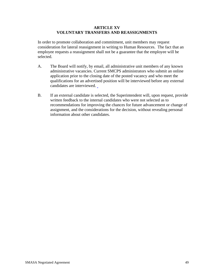## **ARTICLE XV VOLUNTARY TRANSFERS AND REASSIGNMENTS**

In order to promote collaboration and commitment, unit members may request consideration for lateral reassignment in writing to Human Resources. The fact that an employee requests a reassignment shall not be a guarantee that the employee will be selected.

- A. The Board will notify, by email, all administrative unit members of any known administrative vacancies. Current SMCPS administrators who submit an online application prior to the closing date of the posted vacancy and who meet the qualifications for an advertised position will be interviewed before any external candidates are interviewed.
- B. If an external candidate is selected, the Superintendent will, upon request, provide written feedback to the internal candidates who were not selected as to recommendations for improving the chances for future advancement or change of assignment, and the considerations for the decision, without revealing personal information about other candidates.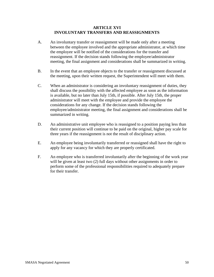#### **ARTICLE XVI INVOLUNTARY TRANSFERS AND REASSIGNMENTS**

- A. An involuntary transfer or reassignment will be made only after a meeting between the employee involved and the appropriate administrator, at which time the employee will be notified of the considerations for the transfer and reassignment. If the decision stands following the employee/administrator meeting, the final assignment and considerations shall be summarized in writing.
- B. In the event that an employee objects to the transfer or reassignment discussed at the meeting, upon their written request, the Superintendent will meet with them.
- C. When an administrator is considering an involuntary reassignment of duties, they shall discuss the possibility with the affected employee as soon as the information is available, but no later than July 15th, if possible. After July 15th, the proper administrator will meet with the employee and provide the employee the considerations for any change. If the decision stands following the employee/administrator meeting, the final assignment and considerations shall be summarized in writing.
- D. An administrative unit employee who is reassigned to a position paying less than their current position will continue to be paid on the original, higher pay scale for three years if the reassignment is not the result of disciplinary action.
- E. An employee being involuntarily transferred or reassigned shall have the right to apply for any vacancy for which they are properly certificated.
- F. An employee who is transferred involuntarily after the beginning of the work year will be given at least two (2) full days without other assignments in order to perform some of the professional responsibilities required to adequately prepare for their transfer.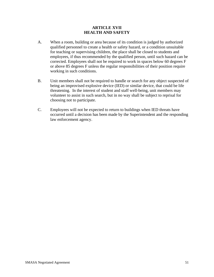## **ARTICLE XVII HEALTH AND SAFETY**

- A. When a room, building or area because of its condition is judged by authorized qualified personnel to create a health or safety hazard, or a condition unsuitable for teaching or supervising children, the place shall be closed to students and employees, if thus recommended by the qualified person, until such hazard can be corrected. Employees shall not be required to work in spaces below 60 degrees F or above 85 degrees F unless the regular responsibilities of their position require working in such conditions.
- B. Unit members shall not be required to handle or search for any object suspected of being an improvised explosive device (IED) or similar device, that could be life threatening. In the interest of student and staff well-being, unit members may volunteer to assist in such search, but in no way shall be subject to reprisal for choosing not to participate.
- C. Employees will not be expected to return to buildings when IED threats have occurred until a decision has been made by the Superintendent and the responding law enforcement agency.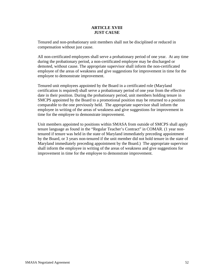## **ARTICLE XVIII JUST CAUSE**

Tenured and non-probationary unit members shall not be disciplined or reduced in compensation without just cause.

All non-certificated employees shall serve a probationary period of one year. At any time during the probationary period, a non-certificated employee may be discharged or demoted, without cause. The appropriate supervisor shall inform the non-certificated employee of the areas of weakness and give suggestions for improvement in time for the employee to demonstrate improvement.

Tenured unit employees appointed by the Board in a certificated role (Maryland certification is required) shall serve a probationary period of one year from the effective date in their position. During the probationary period, unit members holding tenure in SMCPS appointed by the Board to a promotional position may be returned to a position comparable to the one previously held. The appropriate supervisor shall inform the employee in writing of the areas of weakness and give suggestions for improvement in time for the employee to demonstrate improvement.

Unit members appointed to positions within SMASA from outside of SMCPS shall apply tenure language as found in the "Regular Teacher's Contract" in COMAR. (1 year nontenured if tenure was held in the state of Maryland immediately preceding appointment by the Board, or 3 years non-tenured if the unit member did not hold tenure in the state of Maryland immediately preceding appointment by the Board.) The appropriate supervisor shall inform the employee in writing of the areas of weakness and give suggestions for improvement in time for the employee to demonstrate improvement.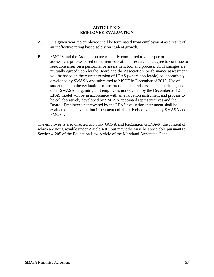## **ARTICLE XIX EMPLOYEE EVALUATION**

- A. In a given year, no employee shall be terminated from employment as a result of an ineffective rating based solely on student growth.
- B. SMCPS and the Association are mutually committed to a fair performance assessment process based on current educational research and agree to continue to seek consensus on a performance assessment tool and process. Until changes are mutually agreed upon by the Board and the Association, performance assessment will be based on the current version of LPAS (where applicable) collaboratively developed by SMASA and submitted to MSDE in December of 2012. Use of student data in the evaluations of instructional supervisors, academic deans, and other SMASA bargaining unit employees not covered by the December 2012 LPAS model will be in accordance with an evaluation instrument and process to be collaboratively developed by SMASA appointed representatives and the Board. Employees not covered by the LPAS evaluation instrument shall be evaluated on an evaluation instrument collaboratively developed by SMASA and SMCPS.

The employee is also directed to Policy GCNA and Regulation GCNA-R, the content of which are not grievable under Article XIII, but may otherwise be appealable pursuant to Section 4-205 of the Education Law Article of the Maryland Annotated Code.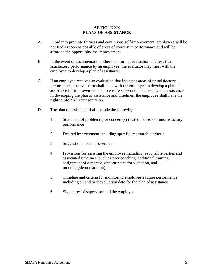# **ARTICLE XX PLANS OF ASSISTANCE**

- A. In order to promote fairness and continuous self-improvement, employees will be notified as soon as possible of areas of concern in performance and will be afforded the opportunity for improvement.
- B. In the event of documentation other than formal evaluation of a less than satisfactory performance by an employee, the evaluator may meet with the employee to develop a plan of assistance.
- C. If an employee receives an evaluation that indicates areas of unsatisfactory performance, the evaluator shall meet with the employee to develop a plan of assistance for improvement and to ensure subsequent counseling and assistance. In developing the plan of assistance and timelines, the employee shall have the right to SMASA representation.
- D. The plan of assistance shall include the following:
	- 1. Statement of problem(s) or concern(s) related to areas of unsatisfactory performance
	- 2. Desired improvement including specific, measurable criteria
	- 3. Suggestions for improvement
	- 4. Provisions for assisting the employee including responsible parties and associated timelines (such as peer coaching, additional training, assignment of a mentor, opportunities for visitation, and modeling/demonstration)
	- 5. Timeline and criteria for monitoring employee's future performance including an end or reevaluation date for the plan of assistance
	- 6. Signatures of supervisor and the employee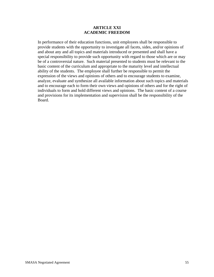#### **ARTICLE XXI ACADEMIC FREEDOM**

In performance of their education functions, unit employees shall be responsible to provide students with the opportunity to investigate all facets, sides, and/or opinions of and about any and all topics and materials introduced or presented and shall have a special responsibility to provide such opportunity with regard to those which are or may be of a controversial nature. Such material presented to students must be relevant to the basic content of the curriculum and appropriate to the maturity level and intellectual ability of the students. The employee shall further be responsible to permit the expression of the views and opinions of others and to encourage students to examine, analyze, evaluate and synthesize all available information about such topics and materials and to encourage each to form their own views and opinions of others and for the right of individuals to form and hold different views and opinions. The basic content of a course and provisions for its implementation and supervision shall be the responsibility of the Board.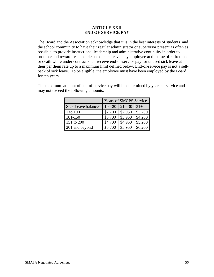## **ARTICLE XXII END OF SERVICE PAY**

The Board and the Association acknowledge that it is in the best interests of students and the school community to have their regular administrator or supervisor present as often as possible, to provide instructional leadership and administrative continuity in order to promote and reward responsible use of sick leave, any employee at the time of retirement or death while under contract shall receive end-of-service pay for unused sick leave at their per diem rate up to a maximum limit defined below. End-of-service pay is not a sellback of sick leave. To be eligible, the employee must have been employed by the Board for ten years.

| $10t$ cacced the following amounts.     |                        |
|-----------------------------------------|------------------------|
|                                         | Years of SMCPS Service |
| Sick Leave balances $10 - 20 + 21 = 30$ |                        |

The maximum amount of end-of-service pay will be determined by years of service and may not exceed the following amounts.

|                            |           | rears of SMCPS Service |         |  |  |  |  |  |  |
|----------------------------|-----------|------------------------|---------|--|--|--|--|--|--|
| <b>Sick Leave balances</b> | $10 - 20$ | $21 - 30$              | $31+$   |  |  |  |  |  |  |
| 1 to 100                   | \$2,700   | \$2,950                | \$3,200 |  |  |  |  |  |  |
| 101-150                    | \$3,700   | \$3,950                | \$4,200 |  |  |  |  |  |  |
| 151 to 200                 | \$4,700   | \$4,950                | \$5,200 |  |  |  |  |  |  |
| 201 and beyond             | \$5,700   | \$5,950                | \$6,200 |  |  |  |  |  |  |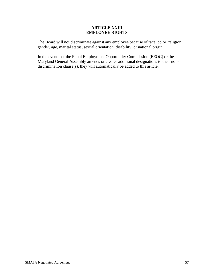## **ARTICLE XXIII EMPLOYEE RIGHTS**

The Board will not discriminate against any employee because of race, color, religion, gender, age, marital status, sexual orientation, disability, or national origin.

In the event that the Equal Employment Opportunity Commission (EEOC) or the Maryland General Assembly amends or creates additional designations to their nondiscrimination clause(s), they will automatically be added to this article.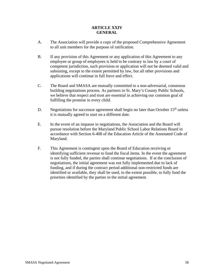# **ARTICLE XXIV GENERAL**

- A. The Association will provide a copy of the proposed Comprehensive Agreement to all unit members for the purpose of ratification.
- B. If any provision of this Agreement or any application of this Agreement to any employee or group of employees is held to be contrary to law by a court of competent jurisdiction, such provision or application will not be deemed valid and subsisting, except to the extent permitted by law, but all other provisions and applications will continue in full force and effect.
- C. The Board and SMASA are mutually committed to a non-adversarial, consensus building negotiations process. As partners in St. Mary's County Public Schools, we believe that respect and trust are essential in achieving our common goal of fulfilling the promise in every child.
- D. Negotiations for successor agreement shall begin no later than October  $15<sup>th</sup>$  unless it is mutually agreed to start on a different date.
- E. In the event of an impasse in negotiations, the Association and the Board will pursue resolution before the Maryland Public School Labor Relations Board in accordance with Section 6-408 of the Education Article of the Annotated Code of Maryland.
- F. This Agreement is contingent upon the Board of Education receiving or identifying sufficient revenue to fund the fiscal items. In the event the agreement is not fully funded, the parties shall continue negotiations. If at the conclusion of negotiations, the initial agreement was not fully implemented due to lack of funding, and if during the contract period additional non-restricted funds are identified or available, they shall be used, to the extent possible, to fully fund the priorities identified by the parties in the initial agreement.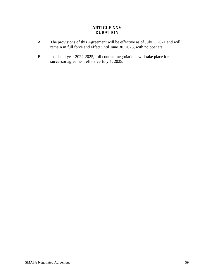# **ARTICLE XXV DURATION**

- A. The provisions of this Agreement will be effective as of July 1, 2021 and will remain in full force and effect until June 30, 2025, with no openers.
- B. In school year 2024-2025, full contract negotiations will take place for a successor agreement effective July 1, 2025.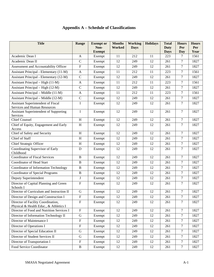# **Appendix A – Schedule of Classifications**

| <b>Title</b>                                                                 | Range                     | <b>Exempt</b> or      | <b>Months</b> | <b>Working</b> | <b>Holidays</b> | <b>Total</b>        | <b>Hours</b>     | <b>Hours</b> |
|------------------------------------------------------------------------------|---------------------------|-----------------------|---------------|----------------|-----------------|---------------------|------------------|--------------|
|                                                                              |                           | Non-<br><b>Exempt</b> | <b>Worked</b> | <b>Days</b>    |                 | Duty<br><b>Days</b> | Per<br>Day       | Per<br>Year  |
| Academic Dean I                                                              | $\mathbf{A}$              | Exempt                | 11            | 212            | 11              | 223                 | $\tau$           | 1561         |
| Academic Dean II                                                             | $\mathsf{C}$              | Exempt                | 12            | 249            | 12              | 261                 | 7                | 1827         |
| Assessment and Accountability Officer                                        | $\boldsymbol{\mathrm{F}}$ | Exempt                | 12            | 249            | 12              | 261                 | $\overline{7}$   | 1827         |
| Assistant Principal - Elementary (11-M)                                      | $\mathbf{A}$              | Exempt                | 11            | 212            | 11              | 223                 | $\overline{7}$   | 1561         |
| Assistant Principal - Elementary (12-M)                                      | $\mathbf C$               | Exempt                | 12            | 249            | 12              | 261                 | $\overline{7}$   | 1827         |
| Assistant Principal - High (11-M)                                            | $\mathbf{A}$              | Exempt                | 11            | 212            | 11              | 223                 | $\tau$           | 1561         |
| Assistant Principal – High (12-M)                                            | $\mathbf C$               | Exempt                | 12            | 249            | 12              | 261                 | $\overline{7}$   | 1827         |
| Assistant Principal – Middle (11-M)                                          | $\mathbf{A}$              | Exempt                | 11            | 212            | 11              | 223                 | $\overline{7}$   | 1561         |
| Assistant Principal - Middle (12-M)                                          | $\mathbf C$               | Exempt                | 12            | 249            | 12              | 261                 | $\overline{7}$   | 1827         |
| Assistant Superintendent of Fiscal                                           | $\bf I$                   | Exempt                | 12            | 249            | 12              | 261                 | $\tau$           | 1827         |
| Services and Human Resources                                                 |                           |                       |               |                |                 |                     |                  |              |
| Assistant Superintendent of Supporting                                       | I                         | Exempt                | 12            | 249            | 12              | 261                 | 7                | 1827         |
| Services<br><b>Chief Counsel</b>                                             | $\, {\rm H}$              | Exempt                | 12            | 249            | 12              | 261                 | $\overline{7}$   | 1827         |
| Chief of Equity, Engagement and Early                                        | H                         | Exempt                | 12            | 249            | 12              | 261                 | $\tau$           | 1827         |
| Access                                                                       |                           |                       |               |                |                 |                     |                  |              |
| Chief of Safety and Security                                                 | $\boldsymbol{\mathrm{H}}$ | Exempt                | 12            | 249            | 12              | 261                 | $\tau$           | 1827         |
| <b>Chief of Staff</b>                                                        | H                         | Exempt                | 12            | 249            | 12              | 261                 | $\overline{7}$   | 1827         |
| <b>Chief Strategic Officer</b>                                               | H                         | Exempt                | 12            | 249            | 12              | 261                 | 7                | 1827         |
| Coordinating Supervisor of Early<br>Childhood                                | $\mathbf D$               | Exempt                | 12            | 249            | 12              | 261                 | $\overline{7}$   | 1827         |
| <b>Coordinator of Fiscal Services</b>                                        | $\, {\bf B}$              | Exempt                | 12            | 249            | 12              | 261                 | $\tau$           | 1827         |
| Coordinator of Head Start                                                    | $\, {\bf B}$              | Exempt                | 12            | 249            | 12              | 261                 | 7                | 1827         |
| Coordinator of Information Technology                                        | $\, {\bf B}$              | Exempt                | 12            | 249            | 12              | 261                 | $\overline{7}$   | 1827         |
| <b>Coordinator of Special Programs</b>                                       | B                         | Exempt                | 12            | 249            | 12              | 261                 | 7                | 1827         |
| Deputy Superintendent                                                        | J                         | Exempt                | 12            | 249            | 12              | 261                 | $\overline{7}$   | 1827         |
| Director of Capital Planning and Green<br>Schools I                          | $\boldsymbol{\mathrm{F}}$ | Exempt                | 12            | 249            | 12              | 261                 | $\tau$           | 1827         |
| Director of Curriculum and Instruction II                                    | $\mathbf G$               | Exempt                | 12            | 249            | 12              | 261                 | $\tau$           | 1827         |
| Director of Design and Construction I                                        | ${\bf F}$                 | Exempt                | 12            | 249            | 12              | 261                 | $\boldsymbol{7}$ | 1827         |
| Director of Facility Coordination,<br>Physical & Health Educ., & Athletics I | $\mathbf F$               | Exempt                | 12            | 249            | 12              | 261                 | $\overline{7}$   | 1827         |
| Director of Food and Nutrition Services I                                    | $\overline{F}$            | Exempt                | 12            | 249            | 12              | 261                 | $\tau$           | 1827         |
| Director of Information Technology II                                        | ${\bf G}$                 | Exempt                | 12            | 249            | 12              | 261                 | $\tau$           | 1827         |
| Director of Maintenance I                                                    | $\mathbf F$               | Exempt                | 12            | 249            | 12              | 261                 | $\tau$           | 1827         |
| Director of Operations I                                                     | $\mathbf F$               | Exempt                | 12            | 249            | 12              | 261                 | $\tau$           | 1827         |
| Director of Special Education II                                             | ${\bf G}$                 | Exempt                | 12            | 249            | 12              | 261                 | $\tau$           | 1827         |
| Director of Student Services II                                              | ${\bf G}$                 | Exempt                | 12            | 249            | 12              | 261                 | $\tau$           | 1827         |
| Director of Transportation I                                                 | $\mathbf F$               | Exempt                | 12            | 249            | 12              | 261                 | $\tau$           | 1827         |
| Food Service Coordinator                                                     | $\, {\bf B}$              | Exempt                | 12            | 249            | 12              | 261                 | $\tau$           | 1827         |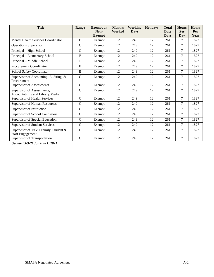| <b>Title</b>                                                       | Range          | <b>Exempt</b> or<br>Non-<br><b>Exempt</b> | <b>Months</b><br>Worked | <b>Working</b><br><b>Days</b> | <b>Holidays</b> | <b>Total</b><br>Duty<br><b>Days</b> | <b>Hours</b><br>Per<br>Day | <b>Hours</b><br>Per<br>Year |
|--------------------------------------------------------------------|----------------|-------------------------------------------|-------------------------|-------------------------------|-----------------|-------------------------------------|----------------------------|-----------------------------|
| Mental Health Services Coordinator                                 | B              | Exempt                                    | 12                      | 249                           | 12              | 261                                 | 7                          | 1827                        |
| <b>Operations Supervisor</b>                                       | $\mathsf{C}$   | Exempt                                    | 12                      | 249                           | 12              | 261                                 | $\tau$                     | 1827                        |
| Principal - High School                                            | G              | Exempt                                    | 12                      | 249                           | 12              | 261                                 | 7                          | 1827                        |
| Principal - Elementary School                                      | E              | Exempt                                    | 12                      | 249                           | 12              | 261                                 | 7                          | 1827                        |
| Principal - Middle School                                          | $\overline{F}$ | Exempt                                    | 12                      | 249                           | 12              | 261                                 | $\overline{7}$             | 1827                        |
| <b>Procurement Coordinator</b>                                     | B              | Exempt                                    | 12                      | 249                           | 12              | 261                                 | 7                          | 1827                        |
| <b>School Safety Coordinator</b>                                   | $\mathbf B$    | Exempt                                    | 12                      | 249                           | 12              | 261                                 | $\overline{7}$             | 1827                        |
| Supervisor of Accounting, Auditing, &<br>Procurement               | $\overline{C}$ | Exempt                                    | 12                      | 249                           | 12              | 261                                 | $\overline{7}$             | 1827                        |
| Supervisor of Assessments                                          | $\mathcal{C}$  | Exempt                                    | 12                      | 249                           | 12              | 261                                 | 7                          | 1827                        |
| Supervisor of Assessments,<br>Accountability and Library/Media     | $\mathcal{C}$  | Exempt                                    | 12                      | 249                           | 12              | 261                                 | $\tau$                     | 1827                        |
| <b>Supervisor of Health Services</b>                               | $\mathsf{C}$   | Exempt                                    | 12                      | 249                           | 12              | 261                                 | $\overline{7}$             | 1827                        |
| <b>Supervisor of Human Resources</b>                               | $\mathbf C$    | Exempt                                    | 12                      | 249                           | 12              | 261                                 | $\overline{7}$             | 1827                        |
| Supervisor of Instruction                                          | $\mathcal{C}$  | Exempt                                    | 12                      | 249                           | 12              | 261                                 | $\overline{7}$             | 1827                        |
| Supervisor of School Counselors                                    | $\mathcal{C}$  | Exempt                                    | 12                      | 249                           | 12              | 261                                 | $\overline{7}$             | 1827                        |
| Supervisor of Special Education                                    | $\mathcal{C}$  | Exempt                                    | 12                      | 249                           | 12              | 261                                 | 7                          | 1827                        |
| Supervisor of Student Services                                     | $\mathbf C$    | Exempt                                    | 12                      | 249                           | 12              | 261                                 | 7                          | 1827                        |
| Supervisor of Title I Family, Student &<br><b>Staff Engagement</b> | $\mathcal{C}$  | Exempt                                    | 12                      | 249                           | 12              | 261                                 | $\overline{7}$             | 1827                        |
| Supervisor of Transportation                                       | $\mathsf{C}$   | Exempt                                    | 12                      | 249                           | 12              | 261                                 | $\overline{7}$             | 1827                        |

*Updated 3-9-21 for July 1, 2021*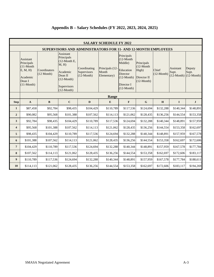|                         |                                                                                          |                                      |                                                                                                                                 |                                                                      | <b>SALARY SCHEDULE FY 2022</b>          |                                                                                                              |                                                                    |                       |                    |                                                              |  |
|-------------------------|------------------------------------------------------------------------------------------|--------------------------------------|---------------------------------------------------------------------------------------------------------------------------------|----------------------------------------------------------------------|-----------------------------------------|--------------------------------------------------------------------------------------------------------------|--------------------------------------------------------------------|-----------------------|--------------------|--------------------------------------------------------------|--|
|                         |                                                                                          |                                      |                                                                                                                                 | <b>SUPERVISORS AND ADMINISTRATORS FOR 11- AND 12-MONTH EMPLOYEES</b> |                                         |                                                                                                              |                                                                    |                       |                    |                                                              |  |
|                         | Assistant<br>Principals<br>$(11-Month)$<br>E, M, H<br>Academic<br>Dean I<br>$(11-Month)$ | Coordinators<br>$(12 \text{ Month})$ | <b>Assistant</b><br>Principals<br>$(12$ -Month E,<br>M, H<br>Academic<br>Dean II<br>$(12-Month)$<br>Supervisors<br>$(12-Month)$ | Coordinating<br>Supervisors<br>$(12-Month)$                          | Principals (12-<br>Month<br>Elementary) | Principals<br>$(12-Month)$<br>Middle)<br>Education<br>Director<br>$(12-Month)$<br>Director I<br>$(12-Month)$ | Principals<br>$(12-Month)$<br>High)<br>Director II<br>$(12-Month)$ | Chief<br>$(12-Month)$ | Assistant<br>Supt. | Deputy<br>Supt.<br>$(12 \text{-Month})$ $(12 \text{-Month})$ |  |
|                         | Range                                                                                    |                                      |                                                                                                                                 |                                                                      |                                         |                                                                                                              |                                                                    |                       |                    |                                                              |  |
| <b>Step</b>             | $\mathbf{A}$                                                                             | $\bf{B}$                             | $\mathbf C$                                                                                                                     | D                                                                    | E                                       | ${\bf F}$                                                                                                    | $\mathbf G$                                                        | H                     | $\mathbf I$        | $\mathbf{J}$                                                 |  |
| $\mathbf{1}$            | \$87,458                                                                                 | \$92,784                             | \$98,435                                                                                                                        | \$104,429                                                            | \$110,789                               | \$117,536                                                                                                    | \$124,694                                                          | \$132,288             | \$140,344          | \$148,891                                                    |  |
| $\overline{2}$          | \$90,082                                                                                 | \$95,568                             | \$101,388                                                                                                                       | \$107,562                                                            | \$114,113                               | \$121,062                                                                                                    | \$128,435                                                          | \$136,256             | \$144,554          | \$153,358                                                    |  |
| 3                       | \$92,784                                                                                 | \$98,435                             | \$104,429                                                                                                                       | \$110,789                                                            | \$117,536                               | \$124,694                                                                                                    | \$132,288                                                          | \$140,344             | \$148,891          | \$157,959                                                    |  |
| $\overline{\mathbf{4}}$ | \$95,568                                                                                 | \$101,388                            | \$107,562                                                                                                                       | \$114,113                                                            | \$121,062                               | \$128,435                                                                                                    | \$136,256                                                          | \$144,554             | \$153,358          | \$162,697                                                    |  |
| 5                       | \$98,435                                                                                 | \$104,429                            | \$110,789                                                                                                                       | \$117,536                                                            | \$124,694                               | \$132,288                                                                                                    | \$140,344                                                          | \$148,891             | \$157,959          | \$167,578                                                    |  |
| 6                       | \$101,388                                                                                | \$107,562                            | \$114,113                                                                                                                       | \$121,062                                                            | \$128,435                               | \$136,256                                                                                                    | \$144,554                                                          | \$153,358             | \$162,697          | \$172,606                                                    |  |
| $\overline{7}$          | \$104,429                                                                                | \$110,789                            | \$117,536                                                                                                                       | \$124,694                                                            | \$132,288                               | \$140,344                                                                                                    | \$148,891                                                          | \$157,959             | \$167,578          | \$177,784                                                    |  |
| 8                       | \$107,562                                                                                | \$114,113                            | \$121,062                                                                                                                       | \$128,435                                                            | \$136,256                               | \$144,554                                                                                                    | \$153,358                                                          | \$162,697             | \$172,606          | \$183,117                                                    |  |
| 9                       | \$110,789                                                                                | \$117,536                            | \$124,694                                                                                                                       | \$132,288                                                            | \$140,344                               | \$148,891                                                                                                    | \$157,959                                                          | \$167,578             | \$177,784          | \$188,611                                                    |  |
| 10                      | \$114,113                                                                                | \$121,062                            | \$128,435                                                                                                                       | \$136,256                                                            | \$144,554                               | \$153,358                                                                                                    | \$162,697                                                          | \$172,606             | \$183,117          | \$194,269                                                    |  |

# **Appendix B – Salary Schedules (FY 2022, 2023, 2024, 2025)**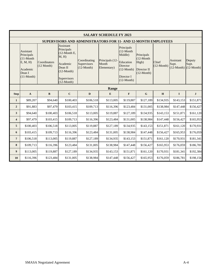|                         |                                                                                          |                                      |                                                                                                                                  |                                                                      | <b>SALARY SCHEDULE FY 2023</b>          |                                                                                                                      |                                                                            |                       |                                                                 |                 |  |
|-------------------------|------------------------------------------------------------------------------------------|--------------------------------------|----------------------------------------------------------------------------------------------------------------------------------|----------------------------------------------------------------------|-----------------------------------------|----------------------------------------------------------------------------------------------------------------------|----------------------------------------------------------------------------|-----------------------|-----------------------------------------------------------------|-----------------|--|
|                         |                                                                                          |                                      |                                                                                                                                  | <b>SUPERVISORS AND ADMINISTRATORS FOR 11- AND 12-MONTH EMPLOYEES</b> |                                         |                                                                                                                      |                                                                            |                       |                                                                 |                 |  |
|                         | Assistant<br>Principals<br>$(11-Month)$<br>E, M, H<br>Academic<br>Dean I<br>$(11-Month)$ | Coordinators<br>$(12 \text{ Month})$ | Assistant<br>Principals<br>$(12$ -Month E,<br>M, H<br>Academic<br>Dean II<br>$(12 \text{-Month})$<br>Supervisors<br>$(12-Month)$ | Coordinating<br>Supervisors<br>$(12-Month)$                          | Principals (12-<br>Month<br>Elementary) | Principals<br>$(12-Month)$<br>Middle)<br>Education<br>Director<br>$(12 \text{-Month})$<br>Director I<br>$(12-Month)$ | Principals<br>$(12-Month)$<br>High)<br>Director II<br>$(12 \text{-Month})$ | Chief<br>$(12-Month)$ | Assistant<br>Supt.<br>$(12 \text{-Month})$ $(12 \text{-Month})$ | Deputy<br>Supt. |  |
|                         | Range                                                                                    |                                      |                                                                                                                                  |                                                                      |                                         |                                                                                                                      |                                                                            |                       |                                                                 |                 |  |
| <b>Step</b>             | $\mathbf{A}$                                                                             | $\, {\bf B}$                         | $\mathbf C$                                                                                                                      | $\mathbf{D}$                                                         | E                                       | $\mathbf F$                                                                                                          | $\mathbf G$                                                                | H                     | $\mathbf I$                                                     | $\mathbf J$     |  |
| 1                       | \$89,207                                                                                 | \$94,640                             | \$100,403                                                                                                                        | \$106,518                                                            | \$113,005                               | \$119,887                                                                                                            | \$127,189                                                                  | \$134,935             | \$143,153                                                       | \$151,871       |  |
| $\overline{2}$          | \$91,883                                                                                 | \$97,479                             | \$103,415                                                                                                                        | \$109,713                                                            | \$116,396                               | \$123,484                                                                                                            | \$131,005                                                                  | \$138,984             | \$147,448                                                       | \$156,427       |  |
| 3                       | \$94,640                                                                                 | \$100,403                            | \$106,518                                                                                                                        | \$113,005                                                            | \$119,887                               | \$127,189                                                                                                            | \$134,935                                                                  | \$143,153             | \$151,871                                                       | \$161,120       |  |
| $\overline{\mathbf{4}}$ | \$97,479                                                                                 | \$103,415                            | \$109,713                                                                                                                        | \$116,396                                                            | \$123,484                               | \$131,005                                                                                                            | \$138,984                                                                  | \$147,448             | \$156,427                                                       | \$165,953       |  |
| 5                       | \$100,403                                                                                | \$106,518                            | \$113,005                                                                                                                        | \$119,887                                                            | \$127,189                               | \$134,935                                                                                                            | \$143,153                                                                  | \$151,871             | \$161,120                                                       | \$170,931       |  |
| 6                       | \$103,415                                                                                | \$109,713                            | \$116,396                                                                                                                        | \$123,484                                                            | \$131,005                               | \$138,984                                                                                                            | \$147,448                                                                  | \$156,427             | \$165,953                                                       | \$176,059       |  |
| $\overline{7}$          | \$106,518                                                                                | \$113,005                            | \$119,887                                                                                                                        | \$127,189                                                            | \$134,935                               | \$143,153                                                                                                            | \$151,871                                                                  | \$161,120             | \$170,931                                                       | \$181,341       |  |
| 8                       | \$109,713                                                                                | \$116,396                            | \$123,484                                                                                                                        | \$131,005                                                            | \$138,984                               | \$147,448                                                                                                            | \$156,427                                                                  | \$165,953             | \$176,059                                                       | \$186,781       |  |
| 9                       | \$113,005                                                                                | \$119,887                            | \$127,189                                                                                                                        | \$134,935                                                            | \$143,153                               | \$151,871                                                                                                            | \$161,120                                                                  | \$170,931             | \$181,341                                                       | \$192,384       |  |
| 10                      | \$116,396                                                                                | \$123,484                            | \$131,005                                                                                                                        | \$138,984                                                            | \$147,448                               | \$156,427                                                                                                            | \$165,953                                                                  | \$176,059             | \$186,781                                                       | \$198,156       |  |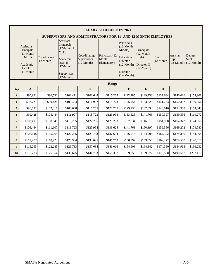|                |                                                                                          |                                      |                                                                                                                          |                                                                      | <b>SALARY SCHEDULE FY 2024</b>          |                                                                                                              |                                                                           |                       |                    |                                                            |  |
|----------------|------------------------------------------------------------------------------------------|--------------------------------------|--------------------------------------------------------------------------------------------------------------------------|----------------------------------------------------------------------|-----------------------------------------|--------------------------------------------------------------------------------------------------------------|---------------------------------------------------------------------------|-----------------------|--------------------|------------------------------------------------------------|--|
|                |                                                                                          |                                      |                                                                                                                          | <b>SUPERVISORS AND ADMINISTRATORS FOR 11- AND 12-MONTH EMPLOYEES</b> |                                         |                                                                                                              |                                                                           |                       |                    |                                                            |  |
|                | Assistant<br>Principals<br>$(11-Month)$<br>E, M, H<br>Academic<br>Dean I<br>$(11-Month)$ | Coordinators<br>$(12 \text{ Month})$ | Assistant<br>Principals<br>$(12$ -Month E,<br>M, H<br>Academic<br>Dean II<br>$(12-Month)$<br>Supervisors<br>$(12-Month)$ | Coordinating<br>Supervisors<br>$(12\text{-Month})$                   | Principals (12-<br>Month<br>Elementary) | Principals<br>$(12-Month)$<br>Middle)<br>Education<br>Director<br>$(12-Month)$<br>Director I<br>$(12-Month)$ | Principals<br>$(12-Month)$<br>High)<br>Director II<br>$(12\text{-Month})$ | Chief<br>$(12-Month)$ | Assistant<br>Supt. | Deputy<br>Supt.<br>$(12\text{-Month})$ $(12\text{-Month})$ |  |
|                | Range                                                                                    |                                      |                                                                                                                          |                                                                      |                                         |                                                                                                              |                                                                           |                       |                    |                                                            |  |
| <b>Step</b>    | $\mathbf{A}$                                                                             | $\mathbf{B}$                         | $\mathbf C$                                                                                                              | D                                                                    | E                                       | $\mathbf F$                                                                                                  | $\mathbf G$                                                               | H                     | $\bf{I}$           | $\mathbf{J}$                                               |  |
| $\mathbf{1}$   | \$90,991                                                                                 | \$96,532                             | \$102,411                                                                                                                | \$108,648                                                            | \$115,265                               | \$122,285                                                                                                    | \$129,733                                                                 | \$137,634             | \$146,016          | \$154,908                                                  |  |
| $\overline{2}$ | \$93,721                                                                                 | \$99,428                             | \$105,484                                                                                                                | \$111,907                                                            | \$118,723                               | \$125,954                                                                                                    | \$133,625                                                                 | \$141,763             | \$150,397          | \$159,556                                                  |  |
| 3              | \$96,532                                                                                 | \$102,411                            | \$108,648                                                                                                                | \$115,265                                                            | \$122,285                               | \$129,733                                                                                                    | \$137,634                                                                 | \$146,016             | \$154,908          | \$164,342                                                  |  |
| 4              | \$99,428                                                                                 | \$105,484                            | \$111,907                                                                                                                | \$118,723                                                            | \$125,954                               | \$133,625                                                                                                    | \$141,763                                                                 | \$150,397             | \$159,556          | \$169,272                                                  |  |
| 5              | \$102,411                                                                                | \$108,648                            | \$115,265                                                                                                                | \$122,285                                                            | \$129,733                               | \$137,634                                                                                                    | \$146,016                                                                 | \$154,908             | \$164,342          | \$174,350                                                  |  |
| 6              | \$105,484                                                                                | \$111,907                            | \$118,723                                                                                                                | \$125,954                                                            | \$133,625                               | \$141,763                                                                                                    | \$150,397                                                                 | \$159,556             | \$169,272          | \$179,580                                                  |  |
| $\overline{7}$ | \$108,648                                                                                | \$115,265                            | \$122,285                                                                                                                | \$129,733                                                            | \$137,634                               | \$146,016                                                                                                    | \$154,908                                                                 | \$164,342             | \$174,350          | \$184,968                                                  |  |
| 8              | \$111,907                                                                                | \$118,723                            | \$125,954                                                                                                                | \$133,625                                                            | \$141,763                               | \$150,397                                                                                                    | \$159,556                                                                 | \$169,272             | \$179,580          | \$190,517                                                  |  |
| 9              | \$115,265                                                                                | \$122,285                            | \$129,733                                                                                                                | \$137,634                                                            | \$146,016                               | \$154,908                                                                                                    | \$164,342                                                                 | \$174,350             | \$184,968          | \$196,232                                                  |  |
| 10             | \$118,723                                                                                | \$125,954                            | \$133,625                                                                                                                | \$141,763                                                            | \$150,397                               | \$159,556                                                                                                    | \$169,272                                                                 | \$179,580             | \$190,517          | \$202,119                                                  |  |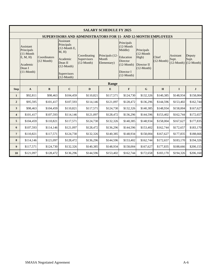|                         |                                                                                          |                                      |                                                                                                                           |                                                                      | <b>SALARY SCHEDULE FY 2025</b>          |                                                                                                                             |                                                                           |                       |                    |                                                              |  |
|-------------------------|------------------------------------------------------------------------------------------|--------------------------------------|---------------------------------------------------------------------------------------------------------------------------|----------------------------------------------------------------------|-----------------------------------------|-----------------------------------------------------------------------------------------------------------------------------|---------------------------------------------------------------------------|-----------------------|--------------------|--------------------------------------------------------------|--|
|                         |                                                                                          |                                      |                                                                                                                           | <b>SUPERVISORS AND ADMINISTRATORS FOR 11- AND 12-MONTH EMPLOYEES</b> |                                         |                                                                                                                             |                                                                           |                       |                    |                                                              |  |
|                         | Assistant<br>Principals<br>$(11-Month)$<br>E, M, H<br>Academic<br>Dean I<br>$(11-Month)$ | Coordinators<br>$(12 \text{ Month})$ | Assistant<br>Principals<br>$(12$ -Month E,<br>M, H<br>Academic<br>Dean II<br>$(12$ -Month)<br>Supervisors<br>$(12-Month)$ | Coordinating<br>Supervisors<br>$(12-Month)$                          | Principals (12-<br>Month<br>Elementary) | Principals<br>$(12-Month)$<br>Middle)<br>Education<br><b>Director</b><br>$(12 \text{-Month})$<br>Director I<br>$(12-Month)$ | Principals<br>$(12-Month)$<br>High)<br>Director II<br>$(12\text{-Month})$ | Chief<br>$(12-Month)$ | Assistant<br>Supt. | Deputy<br>Supt.<br>$(12 \text{-Month})$ $(12 \text{-Month})$ |  |
|                         | <b>Range</b>                                                                             |                                      |                                                                                                                           |                                                                      |                                         |                                                                                                                             |                                                                           |                       |                    |                                                              |  |
| <b>Step</b>             | $\mathbf{A}$                                                                             | $\mathbf{B}$                         | $\mathbf C$                                                                                                               | D                                                                    | E                                       | $\mathbf{F}$                                                                                                                | $\mathbf G$                                                               | H                     | $\mathbf I$        | $\mathbf{J}$                                                 |  |
| $\mathbf{1}$            | \$92,811                                                                                 | \$98,463                             | \$104,459                                                                                                                 | \$110,821                                                            | \$117,571                               | \$124,730                                                                                                                   | \$132,326                                                                 | \$140,385             | \$148,934          | \$158,004                                                    |  |
| $\overline{2}$          | \$95,595                                                                                 | \$101,417                            | \$107,593                                                                                                                 | \$114,146                                                            | \$121,097                               | \$128,472                                                                                                                   | \$136,296                                                                 | \$144,596             | \$153,402          | \$162,744                                                    |  |
| 3                       | \$98,463                                                                                 | \$104,459                            | \$110,821                                                                                                                 | \$117,571                                                            | \$124,730                               | \$132,326                                                                                                                   | \$140,385                                                                 | \$148,934             | \$158,004          | \$167,627                                                    |  |
| $\overline{\mathbf{4}}$ | \$101,417                                                                                | \$107,593                            | \$114,146                                                                                                                 | \$121,097                                                            | \$128,472                               | \$136,296                                                                                                                   | \$144,596                                                                 | \$153,402             | \$162,744          | \$172,657                                                    |  |
| 5                       | \$104,459                                                                                | \$110,821                            | \$117,571                                                                                                                 | \$124,730                                                            | \$132,326                               | \$140,385                                                                                                                   | \$148,934                                                                 | \$158,004             | \$167,627          | \$177,835                                                    |  |
| 6                       | \$107,593                                                                                | \$114,146                            | \$121,097                                                                                                                 | \$128,472                                                            | \$136,296                               | \$144,596                                                                                                                   | \$153,402                                                                 | \$162,744             | \$172,657          | \$183,170                                                    |  |
| $\overline{7}$          | \$110,821                                                                                | \$117,571                            | \$124,730                                                                                                                 | \$132,326                                                            | \$140,385                               | \$148,934                                                                                                                   | \$158,004                                                                 | \$167,627             | \$177,835          | \$188,666                                                    |  |
| 8                       | \$114,146                                                                                | \$121,097                            | \$128,472                                                                                                                 | \$136,296                                                            | \$144,596                               | \$153,402                                                                                                                   | \$162,744                                                                 | \$172,657             | \$183,170          | \$194,326                                                    |  |
| 9                       | \$117,571                                                                                | \$124,730                            | \$132,326                                                                                                                 | \$140,385                                                            | \$148,934                               | \$158,004                                                                                                                   | \$167,627                                                                 | \$177,835             | \$188,666          | \$200,155                                                    |  |
| 10                      | \$121,097                                                                                | \$128,472                            | \$136,296                                                                                                                 | \$144,596                                                            | \$153,402                               | \$162,744                                                                                                                   | \$172,658                                                                 | \$183,170             | \$194,326          | \$206,160                                                    |  |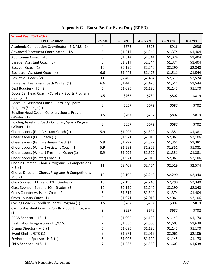| <b>School Year 2021-2022</b>                                          |                |             |             |             |         |
|-----------------------------------------------------------------------|----------------|-------------|-------------|-------------|---------|
| <b>EPED Position</b>                                                  | <b>Points</b>  | $1 - 3$ Yrs | $4 - 6$ Yrs | $7 - 9$ Yrs | 10+ Yrs |
| Academic Competition Coordinator - E.S/M.S. (1)                       | $\overline{4}$ | \$876       | \$896       | \$916       | \$936   |
| Advanced Placement Coordinator - H.S.                                 | 6              | \$1,314     | \$1,344     | \$1,374     | \$1,404 |
| Auditorium Coordinator                                                | 6              | \$1,314     | \$1,344     | \$1,374     | \$1,404 |
| <b>Baseball Assistant Coach (3)</b>                                   | 6              | \$1,314     | \$1,344     | \$1,374     | \$1,404 |
| Baseball Coach (1)                                                    | 10             | \$2,190     | \$2,240     | \$2,290     | \$2,340 |
| Basketball Assistant Coach (4)                                        | 6.6            | \$1,445     | \$1,478     | \$1,511     | \$1,544 |
| Basketball Coach (2)                                                  | 11             | \$2,409     | \$2,464     | \$2,519     | \$2,574 |
| Basketball Freshman Coach Winter (1)                                  | 6.6            | \$1,445     | \$1,478     | \$1,511     | \$1,544 |
| Best Buddies - H.S. (2)                                               | 5              | \$1,095     | \$1,120     | \$1,145     | \$1,170 |
| Bocce Ball Head Coach - Corollary Sports Program<br>$(Spring)$ $(1)$  | 3.5            | \$767       | \$784       | \$802       | \$819   |
| Bocce Ball Assistant Coach - Corollary Sports<br>Program (Spring) (1) | 3              | \$657       | \$672       | \$687       | \$702   |
| Bowling Head Coach- Corollary Sports Program<br>(Winter) (1)          | 3.5            | \$767       | \$784       | \$802       | \$819   |
| Bowling Assistant Coach- Corollary Sports Program<br>(Winter) (1)     | 3              | \$657       | \$672       | \$687       | \$702   |
| Cheerleaders (Fall) Assistant Coach (1)                               | 5.9            | \$1,292     | \$1,322     | \$1,351     | \$1,381 |
| Cheerleaders (Fall) Coach (1)                                         | 9              | \$1,971     | \$2,016     | \$2,061     | \$2,106 |
| Cheerleaders (Fall) Freshman Coach (1)                                | 5.9            | \$1,292     | \$1,322     | \$1,351     | \$1,381 |
| Cheerleaders (Winter) Assistant Coach (1)                             | 5.9            | \$1,292     | \$1,322     | \$1,351     | \$1,381 |
| Cheerleaders (Winter) Freshman Coach (1)                              | 5.9            | \$1,292     | \$1,322     | \$1,351     | \$1,381 |
| Cheerleaders (Winter) Coach (1)                                       | 9              | \$1,971     | \$2,016     | \$2,061     | \$2,106 |
| Chorus Director - Chorus Programs & Competitions -<br>H.S. (1)        | 11             | \$2,409     | \$2,464     | \$2,519     | \$2,574 |
| Chorus Director - Chorus Programs & Competitions -<br>M.S. (1)        | 10             | \$2,190     | \$2,240     | \$2,290     | \$2,340 |
| Class Sponsor, 11th and 12th Grades (2)                               | 10             | \$2,190     | \$2,240     | \$2,290     | \$2,340 |
| Class Sponsor, 9th and 10th Grades (2)                                | 10             | \$2,190     | \$2,240     | \$2,290     | \$2,340 |
| Cross Country Assistant Coach (2)                                     | 6              | \$1,314     | \$1,344     | \$1,374     | \$1,404 |
| Cross Country Coach (1)                                               | 9              | \$1,971     | \$2,016     | \$2,061     | \$2,106 |
| Cycling Coach - Corollary Sports Program (1)                          | 3.5            | \$767       | \$784       | \$802       | \$819   |
| Cycling Assistant Coach - Corollary Sports Program<br>(1)             | 3              | \$657       | \$672       | \$687       | \$702   |
| DECA Sponsor - H.S. (1)                                               | 5              | \$1,095     | \$1,120     | \$1,145     | \$1,170 |
| Destination Imagination - E.S/M.S.                                    | 7              | \$1,533     | \$1,568     | \$1,603     | \$1,638 |
| Drama Director - M.S. (1)                                             | 5              | \$1,095     | \$1,120     | \$1,145     | \$1,170 |
| Event Chef - JFCTC (1)                                                | 9              | \$1,971     | \$2,016     | \$2,061     | \$2,106 |
| Environthon Sponsor - H.S. (1)                                        | 5              | \$1,095     | \$1,120     | \$1,145     | \$1,170 |
| FBLA Sponsor - M.S. (1)                                               | $\overline{7}$ | \$1,533     | \$1,568     | \$1,603     | \$1,638 |

**Appendix C – Extra Pay for Extra Duty (EPED)**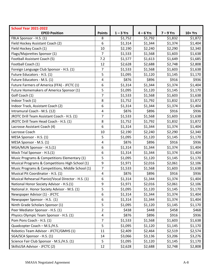| <b>School Year 2021-2022</b>                        |                         |             |             |             |         |
|-----------------------------------------------------|-------------------------|-------------|-------------|-------------|---------|
| <b>EPED Position</b>                                | <b>Points</b>           | $1 - 3$ Yrs | $4 - 6$ Yrs | $7 - 9$ Yrs | 10+ Yrs |
| FBLA Sponsor - H.S. (1)                             | 8                       | \$1,752     | \$1,792     | \$1,832     | \$1,872 |
| Field Hockey Assistant Coach (2)                    | 6                       | \$1,314     | \$1,344     | \$1,374     | \$1,404 |
| Field Hockey Coach (1)                              | 10                      | \$2,190     | \$2,240     | \$2,290     | \$2,340 |
| Flags/Majorettes Sponsor (1)                        | $\overline{7}$          | \$1,533     | \$1,568     | \$1,603     | \$1,638 |
| Football Assistant Coach (5)                        | 7.2                     | \$1,577     | \$1,613     | \$1,649     | \$1,685 |
| Football Coach (1)                                  | 12                      | \$2,628     | \$2,688     | \$2,748     | \$2,808 |
| Foreign Language Club Sponsor - H.S. (1)            | $\overline{7}$          | \$1,533     | \$1,568     | \$1,603     | \$1,638 |
| Future Educators - H.S. (1)                         | 5                       | \$1,095     | \$1,120     | \$1,145     | \$1,170 |
| Future Educators - M.S. (1)                         | 4                       | \$876       | \$896       | \$916       | \$936   |
| Future Farmers of America (FFA) - JFCTC (1)         | 6                       | \$1,314     | \$1,344     | \$1,374     | \$1,404 |
| Future Homemakers of America Sponsor (1)            | 5                       | \$1,095     | \$1,120     | \$1,145     | \$1,170 |
| Golf Coach (1)                                      | $\overline{7}$          | \$1,533     | \$1,568     | \$1,603     | \$1,638 |
| Indoor Track (1)                                    | 8                       | \$1,752     | \$1,792     | \$1,832     | \$1,872 |
| Indoor Track, Assistant Coach (2)                   | 6                       | \$1,314     | \$1,344     | \$1,374     | \$1,404 |
| Intramural Coach - M.S. (12)                        | $\overline{\mathbf{4}}$ | \$876       | \$896       | \$916       | \$936   |
| JROTC Drill Team Assistant Coach - H.S. (1)         | $\overline{7}$          | \$1,533     | \$1,568     | \$1,603     | \$1,638 |
| JROTC Drill Team Head Coach - H.S. (1)              | 8                       | \$1,752     | \$1,792     | \$1,832     | \$1,872 |
| Lacrosse Assistant Coach (4)                        | 6                       | \$1,314     | \$1,344     | \$1,374     | \$1,404 |
| Lacrosse Coach                                      | 10                      | \$2,190     | \$2,240     | \$2,290     | \$2,340 |
| MESA Sponsor - H.S. (1)                             | 5                       | \$1,095     | \$1,120     | \$1,145     | \$1,170 |
| MESA Sponsor - M.S. (1)                             | 4                       | \$876       | \$896       | \$916       | \$936   |
| MGA/MUN Sponsor - H.S.(1)                           | 6                       | \$1,314     | \$1,344     | \$1,374     | \$1,404 |
| Mock Trial Sponsor - H.S.(1)                        | 6                       | \$1,314     | \$1,344     | \$1,374     | \$1,404 |
| Music Programs & Competitions Elementary (1)        | 5                       | \$1,095     | \$1,120     | \$1,145     | \$1,170 |
| Musical Programs & Competitions High School (1)     | 9                       | \$1,971     | \$2,016     | \$2,061     | \$2,106 |
| Music Programs & Competitions, Middle School (1)    | $\overline{7}$          | \$1,533     | \$1,568     | \$1,603     | \$1,638 |
| Musical Pit Coordinator - H.S. (1)                  | 4                       | \$876       | \$896       | \$916       | \$936   |
| Musical Rehearsal Pianist/Vocal Director - H.S. (1) | 6                       | \$1,314     | \$1,344     | \$1,374     | \$1,404 |
| National Honor Society Advisor - H.S.(1)            | 9                       | \$1,971     | \$2,016     | \$2,061     | \$2,106 |
| National Jr. Honor Society Advisor - M.S. (1)       | 5                       | \$1,095     | \$1,120     | \$1,145     | \$1,170 |
| Newspaper Advisor (1) - JFCTC                       | 6                       | \$1,314     | \$1,344     | \$1,374     | \$1,404 |
| Newspaper Sponsor - H.S. (1)                        | 6                       | \$1,314     | \$1,344     | \$1,374     | \$1,404 |
| Ninth Grade Scholars Sponsor (1)                    | 5                       | \$1,095     | \$1,120     | \$1,145     | \$1,170 |
| Peer Mediator Sponsor - H.S. (1)                    | $\overline{2}$          | \$438       | \$448       | \$458       | \$468   |
| Physics Olympic Team Sponsor - H.S. (1)             | 4                       | \$876       | \$896       | \$916       | \$936   |
| Pom Pons Coach - H.S. (1)                           | $\overline{7}$          | \$1,533     | \$1,568     | \$1,603     | \$1,638 |
| Quadcopter Coach - M.S./H.S.                        | 5                       | \$1,095     | \$1,120     | \$1,145     | \$1,170 |
| Robotics Team Advisor - JFCTC/GMHS (1)              | 11                      | \$2,409     | \$2,464     | \$2,519     | \$2,574 |
| SGA/SCA Sponsor - H.S. (1)                          | 14                      | \$3,066     | \$3,136     | \$3,206     | \$3,276 |
| Science Fair Club Sponsor - M.S./H.S. (1)           | 5                       | \$1,095     | \$1,120     | \$1,145     | \$1,170 |
| SkillsUSA Advisor - JFCTC (2)                       | 12                      | \$2,628     | \$2,688     | \$2,748     | \$2,808 |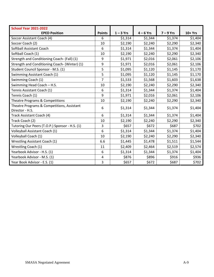| <b>School Year 2021-2022</b>                                  |                |             |             |             |          |
|---------------------------------------------------------------|----------------|-------------|-------------|-------------|----------|
| <b>EPED Position</b>                                          | <b>Points</b>  | $1 - 3$ Yrs | $4 - 6$ Yrs | $7 - 9$ Yrs | $10+Yrs$ |
| Soccer Assistant Coach (4)                                    | 6              | \$1,314     | \$1,344     | \$1,374     | \$1,404  |
| Soccer Coach (2)                                              | 10             | \$2,190     | \$2,240     | \$2,290     | \$2,340  |
| Softball Assistant Coach                                      | 6              | \$1,314     | \$1,344     | \$1,374     | \$1,404  |
| Softball Coach (1)                                            | 10             | \$2,190     | \$2,240     | \$2,290     | \$2,340  |
| Strength and Conditioning Coach- (Fall) (1)                   | 9              | \$1,971     | \$2,016     | \$2,061     | \$2,106  |
| Strength and Conditioning Coach- (Winter) (1)                 | 9              | \$1,971     | \$2,016     | \$2,061     | \$2,106  |
| Student Council Sponsor - M.S. (1)                            | 5              | \$1,095     | \$1,120     | \$1,145     | \$1,170  |
| Swimming Assistant Coach (1)                                  | 5              | \$1,095     | \$1,120     | \$1,145     | \$1,170  |
| Swimming Coach (1)                                            | $\overline{7}$ | \$1,533     | \$1,568     | \$1,603     | \$1,638  |
| Swimming Head Coach - H.S.                                    | 10             | \$2,190     | \$2,240     | \$2,290     | \$2,340  |
| Tennis Assistant Coach (1)                                    | 6              | \$1,314     | \$1,344     | \$1,374     | \$1,404  |
| Tennis Coach (1)                                              | 9              | \$1,971     | \$2,016     | \$2,061     | \$2,106  |
| Theatre Programs & Competitions                               | 10             | \$2,190     | \$2,240     | \$2,290     | \$2,340  |
| Theatre Programs & Competitions, Assistant<br>Director - H.S. | 6              | \$1,314     | \$1,344     | \$1,374     | \$1,404  |
| Track Assistant Coach (4)                                     | 6              | \$1,314     | \$1,344     | \$1,374     | \$1,404  |
| Track Coach (2)                                               | 10             | \$2,190     | \$2,240     | \$2,290     | \$2,340  |
| Tutoring Our Peers (T.O.P.) Sponsor - H.S. (1)                | 3              | \$657       | \$672       | \$687       | \$702    |
| Volleyball Assistant Coach (1)                                | 6              | \$1,314     | \$1,344     | \$1,374     | \$1,404  |
| Volleyball Coach (1)                                          | 10             | \$2,190     | \$2,240     | \$2,290     | \$2,340  |
| <b>Wrestling Assistant Coach (1)</b>                          | 6.6            | \$1,445     | \$1,478     | \$1,511     | \$1,544  |
| Wrestling Coach (1)                                           | 11             | \$2,409     | \$2,464     | \$2,519     | \$2,574  |
| Yearbook Advisor - H.S. (1)                                   | 6              | \$1,314     | \$1,344     | \$1,374     | \$1,404  |
| Yearbook Advisor - M.S. (1)                                   | 4              | \$876       | \$896       | \$916       | \$936    |
| Year Book Advisor - E.S. (1)                                  | 3              | \$657       | \$672       | \$687       | \$702    |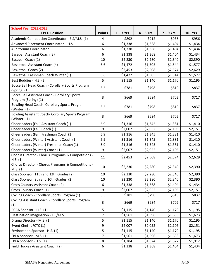| <b>School Year 2022-2023</b>                                          |                |             |             |             |         |
|-----------------------------------------------------------------------|----------------|-------------|-------------|-------------|---------|
| <b>EPED Position</b>                                                  | <b>Points</b>  | $1 - 3$ Yrs | $4 - 6$ Yrs | $7 - 9$ Yrs | 10+ Yrs |
| Academic Competition Coordinator - E.S/M.S. (1)                       | 4              | \$892       | \$912       | \$936       | \$956   |
| Advanced Placement Coordinator - H.S.                                 | 6              | \$1,338     | \$1,368     | \$1,404     | \$1,434 |
| Auditorium Coordinator                                                | 6              | \$1,338     | \$1,368     | \$1,404     | \$1,434 |
| <b>Baseball Assistant Coach (3)</b>                                   | 6              | \$1,338     | \$1,368     | \$1,404     | \$1,434 |
| Baseball Coach (1)                                                    | 10             | \$2,230     | \$2,280     | \$2,340     | \$2,390 |
| Basketball Assistant Coach (4)                                        | 6.6            | \$1,472     | \$1,505     | \$1,544     | \$1,577 |
| <b>Basketball Coach (2)</b>                                           | 11             | \$2,453     | \$2,508     | \$2,574     | \$2,629 |
| Basketball Freshman Coach Winter (1)                                  | 6.6            | \$1,472     | \$1,505     | \$1,544     | \$1,577 |
| Best Buddies - H.S. (2)                                               | 5              | \$1,115     | \$1,140     | \$1,170     | \$1,195 |
| Bocce Ball Head Coach - Corollary Sports Program<br>$(Spring)$ $(1)$  | 3.5            | \$781       | \$798       | \$819       | \$837   |
| Bocce Ball Assistant Coach - Corollary Sports<br>Program (Spring) (1) | 3              | \$669       | \$684       | \$702       | \$717   |
| Bowling Head Coach- Corollary Sports Program<br>(Winter) (1)          | 3.5            | \$781       | \$798       | \$819       | \$837   |
| Bowling Assistant Coach- Corollary Sports Program<br>(Winter) (1)     | 3              | \$669       | \$684       | \$702       | \$717   |
| Cheerleaders (Fall) Assistant Coach (1)                               | 5.9            | \$1,316     | \$1,345     | \$1,381     | \$1,410 |
| Cheerleaders (Fall) Coach (1)                                         | 9              | \$2,007     | \$2,052     | \$2,106     | \$2,151 |
| Cheerleaders (Fall) Freshman Coach (1)                                | 5.9            | \$1,316     | \$1,345     | \$1,381     | \$1,410 |
| Cheerleaders (Winter) Assistant Coach (1)                             | 5.9            | \$1,316     | \$1,345     | \$1,381     | \$1,410 |
| Cheerleaders (Winter) Freshman Coach (1)                              | 5.9            | \$1,316     | \$1,345     | \$1,381     | \$1,410 |
| Cheerleaders (Winter) Coach (1)                                       | 9              | \$2,007     | \$2,052     | \$2,106     | \$2,151 |
| Chorus Director - Chorus Programs & Competitions -<br>H.S. (1)        | 11             | \$2,453     | \$2,508     | \$2,574     | \$2,629 |
| Chorus Director - Chorus Programs & Competitions -<br>M.S. (1)        | 10             | \$2,230     | \$2,280     | \$2,340     | \$2,390 |
| Class Sponsor, 11th and 12th Grades (2)                               | 10             | \$2,230     | \$2,280     | \$2,340     | \$2,390 |
| Class Sponsor, 9th and 10th Grades (2)                                | 10             | \$2,230     | \$2,280     | \$2,340     | \$2,390 |
| Cross Country Assistant Coach (2)                                     | 6              | \$1,338     | \$1,368     | \$1,404     | \$1,434 |
| Cross Country Coach (1)                                               | 9              | \$2,007     | \$2,052     | \$2,106     | \$2,151 |
| Cycling Coach - Corollary Sports Program (1)                          | 3.5            | \$781       | \$798       | \$819       | \$837   |
| Cycling Assistant Coach - Corollary Sports Program<br>(1)             | 3              | \$669       | \$684       | \$702       | \$717   |
| DECA Sponsor - H.S. (1)                                               | 5              | \$1,115     | \$1,140     | \$1,170     | \$1,195 |
| Destination Imagination - E.S/M.S.                                    | $\overline{7}$ | \$1,561     | \$1,596     | \$1,638     | \$1,673 |
| Drama Director - M.S. (1)                                             | 5              | \$1,115     | \$1,140     | \$1,170     | \$1,195 |
| Event Chef - JFCTC (1)                                                | 9              | \$2,007     | \$2,052     | \$2,106     | \$2,151 |
| Environthon Sponsor - H.S. (1)                                        | 5              | \$1,115     | \$1,140     | \$1,170     | \$1,195 |
| FBLA Sponsor - M.S. (1)                                               | $\overline{7}$ | \$1,561     | \$1,596     | \$1,638     | \$1,673 |
| FBLA Sponsor - H.S. (1)                                               | 8              | \$1,784     | \$1,824     | \$1,872     | \$1,912 |
| Field Hockey Assistant Coach (2)                                      | 6              | \$1,338     | \$1,368     | \$1,404     | \$1,434 |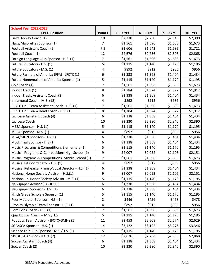| <b>School Year 2022-2023</b><br><b>EPED Position</b> | <b>Points</b>    | $1 - 3$ Yrs | $4 - 6$ Yrs | $7 - 9$ Yrs | $10+Yrs$ |
|------------------------------------------------------|------------------|-------------|-------------|-------------|----------|
| Field Hockey Coach (1)                               | 10               | \$2,230     | \$2,280     | \$2,340     | \$2,390  |
| Flags/Majorettes Sponsor (1)                         | $\overline{7}$   | \$1,561     | \$1,596     | \$1,638     | \$1,673  |
| Football Assistant Coach (5)                         | 7.2              | \$1,606     | \$1,642     | \$1,685     | \$1,721  |
| Football Coach (1)                                   | 12               | \$2,676     | \$2,736     | \$2,808     | \$2,868  |
| Foreign Language Club Sponsor - H.S. (1)             | $\overline{7}$   | \$1,561     | \$1,596     | \$1,638     | \$1,673  |
| Future Educators - H.S. (1)                          | 5                | \$1,115     | \$1,140     | \$1,170     | \$1,195  |
| Future Educators - M.S. (1)                          | $\pmb{4}$        | \$892       | \$912       | \$936       | \$956    |
| Future Farmers of America (FFA) - JFCTC (1)          | 6                | \$1,338     | \$1,368     | \$1,404     | \$1,434  |
| Future Homemakers of America Sponsor (1)             | 5                | \$1,115     | \$1,140     | \$1,170     | \$1,195  |
| Golf Coach (1)                                       | $\overline{7}$   | \$1,561     | \$1,596     | \$1,638     | \$1,673  |
| Indoor Track (1)                                     | 8                | \$1,784     | \$1,824     | \$1,872     | \$1,912  |
| Indoor Track, Assistant Coach (2)                    | 6                | \$1,338     | \$1,368     | \$1,404     | \$1,434  |
| Intramural Coach - M.S. (12)                         | 4                | \$892       | \$912       | \$936       | \$956    |
| JROTC Drill Team Assistant Coach - H.S. (1)          | $\overline{7}$   | \$1,561     | \$1,596     | \$1,638     | \$1,673  |
| JROTC Drill Team Head Coach - H.S. (1)               | 8                | \$1,784     | \$1,824     | \$1,872     | \$1,912  |
| Lacrosse Assistant Coach (4)                         | 6                | \$1,338     | \$1,368     | \$1,404     | \$1,434  |
| Lacrosse Coach                                       | 10               | \$2,230     | \$2,280     | \$2,340     | \$2,390  |
| MESA Sponsor - H.S. (1)                              | 5                | \$1,115     | \$1,140     | \$1,170     | \$1,195  |
| MESA Sponsor - M.S. (1)                              | 4                | \$892       | \$912       | \$936       | \$956    |
| MGA/MUN Sponsor - H.S.(1)                            | 6                | \$1,338     | \$1,368     | \$1,404     | \$1,434  |
| Mock Trial Sponsor - H.S.(1)                         | $\boldsymbol{6}$ | \$1,338     | \$1,368     | \$1,404     | \$1,434  |
| Music Programs & Competitions Elementary (1)         | 5                | \$1,115     | \$1,140     | \$1,170     | \$1,195  |
| Musical Programs & Competitions High School (1)      | 9                | \$2,007     | \$2,052     | \$2,106     | \$2,151  |
| Music Programs & Competitions, Middle School (1)     | $\overline{7}$   | \$1,561     | \$1,596     | \$1,638     | \$1,673  |
| Musical Pit Coordinator - H.S. (1)                   | $\pmb{4}$        | \$892       | \$912       | \$936       | \$956    |
| Musical Rehearsal Pianist/Vocal Director - H.S. (1)  | $\boldsymbol{6}$ | \$1,338     | \$1,368     | \$1,404     | \$1,434  |
| National Honor Society Advisor - H.S.(1)             | 9                | \$2,007     | \$2,052     | \$2,106     | \$2,151  |
| National Jr. Honor Society Advisor - M.S. (1)        | 5                | \$1,115     | \$1,140     | \$1,170     | \$1,195  |
| Newspaper Advisor (1) - JFCTC                        | 6                | \$1,338     | \$1,368     | \$1,404     | \$1,434  |
| Newspaper Sponsor - H.S. (1)                         | 6                | \$1,338     | \$1,368     | \$1,404     | \$1,434  |
| Ninth Grade Scholars Sponsor (1)                     | 5                | \$1,115     | \$1,140     | \$1,170     | \$1,195  |
| Peer Mediator Sponsor - H.S. (1)                     | $\overline{2}$   | \$446       | \$456       | \$468       | \$478    |
| Physics Olympic Team Sponsor - H.S. (1)              | 4                | \$892       | \$912       | \$936       | \$956    |
| Pom Pons Coach - H.S. (1)                            | $\overline{7}$   | \$1,561     | \$1,596     | \$1,638     | \$1,673  |
| Quadcopter Coach - M.S./H.S.                         | 5                | \$1,115     | \$1,140     | \$1,170     | \$1,195  |
| Robotics Team Advisor - JFCTC/GMHS (1)               | 11               | \$2,453     | \$2,508     | \$2,574     | \$2,629  |
| SGA/SCA Sponsor - H.S. (1)                           | 14               | \$3,122     | \$3,192     | \$3,276     | \$3,346  |
| Science Fair Club Sponsor - M.S./H.S. (1)            | 5                | \$1,115     | \$1,140     | \$1,170     | \$1,195  |
| SkillsUSA Advisor - JFCTC (2)                        | 12               | \$2,676     | \$2,736     | \$2,808     | \$2,868  |
| Soccer Assistant Coach (4)                           | 6                | \$1,338     | \$1,368     | \$1,404     | \$1,434  |
| Soccer Coach (2)                                     | 10               | \$2,230     | \$2,280     | \$2,340     | \$2,390  |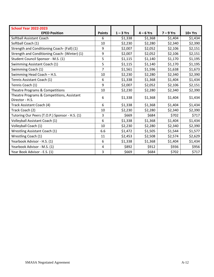| <b>School Year 2022-2023</b>                   |                |             |             |             |         |
|------------------------------------------------|----------------|-------------|-------------|-------------|---------|
| <b>EPED Position</b>                           | <b>Points</b>  | $1 - 3$ Yrs | $4 - 6$ Yrs | $7 - 9$ Yrs | 10+ Yrs |
| Softball Assistant Coach                       | 6              | \$1,338     | \$1,368     | \$1,404     | \$1,434 |
| Softball Coach (1)                             | 10             | \$2,230     | \$2,280     | \$2,340     | \$2,390 |
| Strength and Conditioning Coach- (Fall) (1)    | 9              | \$2,007     | \$2,052     | \$2,106     | \$2,151 |
| Strength and Conditioning Coach- (Winter) (1)  | 9              | \$2,007     | \$2,052     | \$2,106     | \$2,151 |
| Student Council Sponsor - M.S. (1)             | 5              | \$1,115     | \$1,140     | \$1,170     | \$1,195 |
| Swimming Assistant Coach (1)                   | 5              | \$1,115     | \$1,140     | \$1,170     | \$1,195 |
| Swimming Coach (1)                             | $\overline{7}$ | \$1,561     | \$1,596     | \$1,638     | \$1,673 |
| Swimming Head Coach - H.S.                     |                | \$2,230     | \$2,280     | \$2,340     | \$2,390 |
| Tennis Assistant Coach (1)                     |                | \$1,338     | \$1,368     | \$1,404     | \$1,434 |
| Tennis Coach (1)                               | 9              | \$2,007     | \$2,052     | \$2,106     | \$2,151 |
| Theatre Programs & Competitions                |                | \$2,230     | \$2,280     | \$2,340     | \$2,390 |
| Theatre Programs & Competitions, Assistant     |                | \$1,338     | \$1,368     | \$1,404     | \$1,434 |
| Director - H.S.                                |                |             |             |             |         |
| Track Assistant Coach (4)                      | 6              | \$1,338     | \$1,368     | \$1,404     | \$1,434 |
| Track Coach (2)                                | 10             | \$2,230     | \$2,280     | \$2,340     | \$2,390 |
| Tutoring Our Peers (T.O.P.) Sponsor - H.S. (1) | 3              | \$669       | \$684       | \$702       | \$717   |
| Volleyball Assistant Coach (1)                 |                | \$1,338     | \$1,368     | \$1,404     | \$1,434 |
| Volleyball Coach (1)                           |                | \$2,230     | \$2,280     | \$2,340     | \$2,390 |
| <b>Wrestling Assistant Coach (1)</b>           | 6.6            | \$1,472     | \$1,505     | \$1,544     | \$1,577 |
| Wrestling Coach (1)                            |                | \$2,453     | \$2,508     | \$2,574     | \$2,629 |
| Yearbook Advisor - H.S. (1)                    | 6              | \$1,338     | \$1,368     | \$1,404     | \$1,434 |
| Yearbook Advisor - M.S. (1)                    | $\sqrt{4}$     | \$892       | \$912       | \$936       | \$956   |
| Year Book Advisor - E.S. (1)                   |                | \$669       | \$684       | \$702       | \$717   |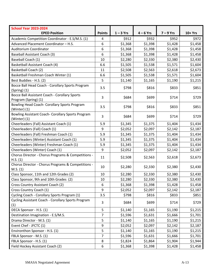| <b>School Year 2023-2024</b>                                          |                |             |             |             |          |
|-----------------------------------------------------------------------|----------------|-------------|-------------|-------------|----------|
| <b>EPED Position</b>                                                  | <b>Points</b>  | $1 - 3$ Yrs | $4 - 6$ Yrs | $7 - 9$ Yrs | $10+Yrs$ |
| Academic Competition Coordinator - E.S/M.S. (1)                       | 4              | \$912       | \$932       | \$952       | \$972    |
| Advanced Placement Coordinator - H.S.                                 | 6              | \$1,368     | \$1,398     | \$1,428     | \$1,458  |
| Auditorium Coordinator                                                | 6              | \$1,368     | \$1,398     | \$1,428     | \$1,458  |
| <b>Baseball Assistant Coach (3)</b>                                   | 6              | \$1,368     | \$1,398     | \$1,428     | \$1,458  |
| Baseball Coach (1)                                                    | 10             | \$2,280     | \$2,330     | \$2,380     | \$2,430  |
| Basketball Assistant Coach (4)                                        | 6.6            | \$1,505     | \$1,538     | \$1,571     | \$1,604  |
| <b>Basketball Coach (2)</b>                                           | 11             | \$2,508     | \$2,563     | \$2,618     | \$2,673  |
| Basketball Freshman Coach Winter (1)                                  | 6.6            | \$1,505     | \$1,538     | \$1,571     | \$1,604  |
| Best Buddies - H.S. (2)                                               | 5              | \$1,140     | \$1,165     | \$1,190     | \$1,215  |
| Bocce Ball Head Coach - Corollary Sports Program<br>$(Spring)$ $(1)$  | 3.5            | \$798       | \$816       | \$833       | \$851    |
| Bocce Ball Assistant Coach - Corollary Sports<br>Program (Spring) (1) | 3              | \$684       | \$699       | \$714       | \$729    |
| Bowling Head Coach- Corollary Sports Program<br>(Winter) (1)          | 3.5            | \$798       | \$816       | \$833       | \$851    |
| Bowling Assistant Coach- Corollary Sports Program<br>(Winter) (1)     | 3              | \$684       | \$699       | \$714       | \$729    |
| Cheerleaders (Fall) Assistant Coach (1)                               | 5.9            | \$1,345     | \$1,375     | \$1,404     | \$1,434  |
| Cheerleaders (Fall) Coach (1)                                         |                | \$2,052     | \$2,097     | \$2,142     | \$2,187  |
| Cheerleaders (Fall) Freshman Coach (1)                                |                | \$1,345     | \$1,375     | \$1,404     | \$1,434  |
| Cheerleaders (Winter) Assistant Coach (1)                             |                | \$1,345     | \$1,375     | \$1,404     | \$1,434  |
| Cheerleaders (Winter) Freshman Coach (1)                              |                | \$1,345     | \$1,375     | \$1,404     | \$1,434  |
| Cheerleaders (Winter) Coach (1)                                       |                | \$2,052     | \$2,097     | \$2,142     | \$2,187  |
| Chorus Director - Chorus Programs & Competitions -<br>H.S. (1)        |                | \$2,508     | \$2,563     | \$2,618     | \$2,673  |
| Chorus Director - Chorus Programs & Competitions -<br>M.S. (1)        |                | \$2,280     | \$2,330     | \$2,380     | \$2,430  |
| Class Sponsor, 11th and 12th Grades (2)                               | 10             | \$2,280     | \$2,330     | \$2,380     | \$2,430  |
| Class Sponsor, 9th and 10th Grades (2)                                | 10             | \$2,280     | \$2,330     | \$2,380     | \$2,430  |
| Cross Country Assistant Coach (2)                                     | 6              | \$1,368     | \$1,398     | \$1,428     | \$1,458  |
| Cross Country Coach (1)                                               | 9              | \$2,052     | \$2,097     | \$2,142     | \$2,187  |
| Cycling Coach - Corollary Sports Program (1)                          |                | \$798       | \$816       | \$833       | \$851    |
| Cycling Assistant Coach - Corollary Sports Program<br>(1)             |                | \$684       | \$699       | \$714       | \$729    |
| DECA Sponsor - H.S. (1)                                               |                | \$1,140     | \$1,165     | \$1,190     | \$1,215  |
| Destination Imagination - E.S/M.S.                                    |                | \$1,596     | \$1,631     | \$1,666     | \$1,701  |
| Drama Director - M.S. (1)                                             |                | \$1,140     | \$1,165     | \$1,190     | \$1,215  |
| Event Chef - JFCTC (1)                                                |                | \$2,052     | \$2,097     | \$2,142     | \$2,187  |
| Environthon Sponsor - H.S. (1)                                        |                | \$1,140     | \$1,165     | \$1,190     | \$1,215  |
| FBLA Sponsor - M.S. (1)                                               | $\overline{7}$ | \$1,596     | \$1,631     | \$1,666     | \$1,701  |
| FBLA Sponsor - H.S. (1)                                               | 8              | \$1,824     | \$1,864     | \$1,904     | \$1,944  |
| Field Hockey Assistant Coach (2)                                      | 6              | \$1,368     | \$1,398     | \$1,428     | \$1,458  |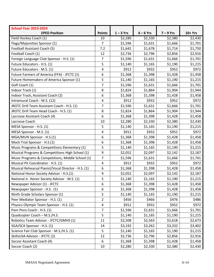| <b>School Year 2023-2024</b>                        |                         |             |             |             |          |
|-----------------------------------------------------|-------------------------|-------------|-------------|-------------|----------|
| <b>EPED Position</b>                                | <b>Points</b>           | $1 - 3$ Yrs | $4 - 6$ Yrs | $7 - 9$ Yrs | $10+Yrs$ |
| Field Hockey Coach (1)                              | 10<br>$\overline{7}$    | \$2,280     | \$2,330     | \$2,380     | \$2,430  |
| Flags/Majorettes Sponsor (1)                        |                         | \$1,596     | \$1,631     | \$1,666     | \$1,701  |
| Football Assistant Coach (5)                        | 7.2                     | \$1,642     | \$1,678     | \$1,714     | \$1,750  |
| Football Coach (1)                                  | 12                      | \$2,736     | \$2,796     | \$2,856     | \$2,916  |
| Foreign Language Club Sponsor - H.S. (1)            | $\overline{7}$          | \$1,596     | \$1,631     | \$1,666     | \$1,701  |
| Future Educators - H.S. (1)                         | 5                       | \$1,140     | \$1,165     | \$1,190     | \$1,215  |
| Future Educators - M.S. (1)                         | 4                       | \$912       | \$932       | \$952       | \$972    |
| Future Farmers of America (FFA) - JFCTC (1)         | 6                       | \$1,368     | \$1,398     | \$1,428     | \$1,458  |
| Future Homemakers of America Sponsor (1)            | 5                       | \$1,140     | \$1,165     | \$1,190     | \$1,215  |
| Golf Coach (1)                                      | $\overline{7}$          | \$1,596     | \$1,631     | \$1,666     | \$1,701  |
| Indoor Track (1)                                    | 8                       | \$1,824     | \$1,864     | \$1,904     | \$1,944  |
| Indoor Track, Assistant Coach (2)                   | 6                       | \$1,368     | \$1,398     | \$1,428     | \$1,458  |
| Intramural Coach - M.S. (12)                        | $\overline{\mathbf{4}}$ | \$912       | \$932       | \$952       | \$972    |
| JROTC Drill Team Assistant Coach - H.S. (1)         | $\overline{7}$          | \$1,596     | \$1,631     | \$1,666     | \$1,701  |
| JROTC Drill Team Head Coach - H.S. (1)              | 8                       | \$1,824     | \$1,864     | \$1,904     | \$1,944  |
| Lacrosse Assistant Coach (4)                        | 6                       | \$1,368     | \$1,398     | \$1,428     | \$1,458  |
| Lacrosse Coach                                      | 10                      | \$2,280     | \$2,330     | \$2,380     | \$2,430  |
| MESA Sponsor - H.S. (1)                             |                         | \$1,140     | \$1,165     | \$1,190     | \$1,215  |
| MESA Sponsor - M.S. (1)                             |                         | \$912       | \$932       | \$952       | \$972    |
| MGA/MUN Sponsor - H.S.(1)                           |                         | \$1,368     | \$1,398     | \$1,428     | \$1,458  |
| Mock Trial Sponsor - H.S.(1)                        |                         | \$1,368     | \$1,398     | \$1,428     | \$1,458  |
| Music Programs & Competitions Elementary (1)        |                         | \$1,140     | \$1,165     | \$1,190     | \$1,215  |
| Musical Programs & Competitions High School (1)     | 9                       | \$2,052     | \$2,097     | \$2,142     | \$2,187  |
| Music Programs & Competitions, Middle School (1)    | $\overline{7}$          | \$1,596     | \$1,631     | \$1,666     | \$1,701  |
| Musical Pit Coordinator - H.S. (1)                  | 4                       | \$912       | \$932       | \$952       | \$972    |
| Musical Rehearsal Pianist/Vocal Director - H.S. (1) | 6                       | \$1,368     | \$1,398     | \$1,428     | \$1,458  |
| National Honor Society Advisor - H.S.(1)            | 9                       | \$2,052     | \$2,097     | \$2,142     | \$2,187  |
| National Jr. Honor Society Advisor - M.S. (1)       | 5                       | \$1,140     | \$1,165     | \$1,190     | \$1,215  |
| Newspaper Advisor (1) - JFCTC                       | 6                       | \$1,368     | \$1,398     | \$1,428     | \$1,458  |
| Newspaper Sponsor - H.S. (1)                        | 6                       | \$1,368     | \$1,398     | \$1,428     | \$1,458  |
| Ninth Grade Scholars Sponsor (1)                    | 5                       | \$1,140     | \$1,165     | \$1,190     | \$1,215  |
| Peer Mediator Sponsor - H.S. (1)                    | $\overline{2}$          | \$456       | \$466       | \$476       | \$486    |
| Physics Olympic Team Sponsor - H.S. (1)             |                         | \$912       | \$932       | \$952       | \$972    |
| Pom Pons Coach - H.S. (1)                           |                         | \$1,596     | \$1,631     | \$1,666     | \$1,701  |
| Quadcopter Coach - M.S./H.S.                        | $\overline{7}$<br>5     | \$1,140     | \$1,165     | \$1,190     | \$1,215  |
| Robotics Team Advisor - JFCTC/GMHS (1)              |                         | \$2,508     | \$2,563     | \$2,618     | \$2,673  |
| SGA/SCA Sponsor - H.S. (1)                          |                         | \$3,192     | \$3,262     | \$3,332     | \$3,402  |
| Science Fair Club Sponsor - M.S./H.S. (1)           |                         | \$1,140     | \$1,165     | \$1,190     | \$1,215  |
| SkillsUSA Advisor - JFCTC (2)                       | 5<br>12                 | \$2,736     | \$2,796     | \$2,856     | \$2,916  |
| Soccer Assistant Coach (4)                          | 6                       | \$1,368     | \$1,398     | \$1,428     | \$1,458  |
| Soccer Coach (2)                                    | 10                      | \$2,280     | \$2,330     | \$2,380     | \$2,430  |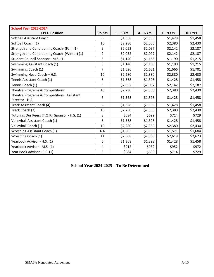| <b>School Year 2023-2024</b>                                  |                |             |             |             |         |
|---------------------------------------------------------------|----------------|-------------|-------------|-------------|---------|
| <b>EPED Position</b>                                          | <b>Points</b>  | $1 - 3$ Yrs | $4 - 6$ Yrs | $7 - 9$ Yrs | 10+ Yrs |
| Softball Assistant Coach                                      | 6              | \$1,368     | \$1,398     | \$1,428     | \$1,458 |
| Softball Coach (1)                                            | 10             | \$2,280     | \$2,330     | \$2,380     | \$2,430 |
| Strength and Conditioning Coach- (Fall) (1)                   | 9              | \$2,052     | \$2,097     | \$2,142     | \$2,187 |
| Strength and Conditioning Coach- (Winter) (1)                 | 9              | \$2,052     | \$2,097     | \$2,142     | \$2,187 |
| Student Council Sponsor - M.S. (1)                            | 5              | \$1,140     | \$1,165     | \$1,190     | \$1,215 |
| Swimming Assistant Coach (1)                                  | 5              | \$1,140     | \$1,165     | \$1,190     | \$1,215 |
| Swimming Coach (1)                                            | $\overline{7}$ | \$1,596     | \$1,631     | \$1,666     | \$1,701 |
| Swimming Head Coach - H.S.                                    |                | \$2,280     | \$2,330     | \$2,380     | \$2,430 |
| Tennis Assistant Coach (1)                                    |                | \$1,368     | \$1,398     | \$1,428     | \$1,458 |
| Tennis Coach (1)                                              |                | \$2,052     | \$2,097     | \$2,142     | \$2,187 |
| Theatre Programs & Competitions                               |                | \$2,280     | \$2,330     | \$2,380     | \$2,430 |
| Theatre Programs & Competitions, Assistant<br>Director - H.S. |                | \$1,368     | \$1,398     | \$1,428     | \$1,458 |
| Track Assistant Coach (4)                                     |                | \$1,368     | \$1,398     | \$1,428     | \$1,458 |
| Track Coach (2)                                               | 10             | \$2,280     | \$2,330     | \$2,380     | \$2,430 |
| Tutoring Our Peers (T.O.P.) Sponsor - H.S. (1)                | 3              | \$684       | \$699       | \$714       | \$729   |
| Volleyball Assistant Coach (1)                                | 6              | \$1,368     | \$1,398     | \$1,428     | \$1,458 |
| Volleyball Coach (1)                                          |                | \$2,280     | \$2,330     | \$2,380     | \$2,430 |
| <b>Wrestling Assistant Coach (1)</b>                          |                | \$1,505     | \$1,538     | \$1,571     | \$1,604 |
| Wrestling Coach (1)                                           |                | \$2,508     | \$2,563     | \$2,618     | \$2,673 |
| Yearbook Advisor - H.S. (1)                                   | 6              | \$1,368     | \$1,398     | \$1,428     | \$1,458 |
| Yearbook Advisor - M.S. (1)                                   | 4              | \$912       | \$932       | \$952       | \$972   |
| Year Book Advisor - E.S. (1)                                  |                | \$684       | \$699       | \$714       | \$729   |

# **School Year 2024-2025 – To Be Determined**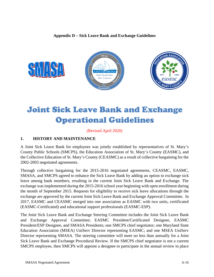#### **Appendix D – Sick Leave Bank and Exchange Guidelines**



# Joint Sick Leave Bank and Exchange Operational Guidelines

#### (Revised April 2020)

#### **1. HISTORY AND MAINTENANCE**

A Joint Sick Leave Bank for employees was jointly established by representatives of St. Mary's County Public Schools (SMCPS), the Education Association of St. Mary's County (EASMC), and the Collective Education of St. Mary's County (CEASMC) as a result of collective bargaining for the 2002-2003 negotiated agreements.

Through collective bargaining for the 2015-2016 negotiated agreements, CEASMC, EASMC, SMASA, and SMCPS agreed to enhance the Sick Leave Bank by adding an option to exchange sick leave among bank members, resulting in the current Joint Sick Leave Bank and Exchange. The exchange was implemented during the 2015-2016 school year beginning with open enrollment during the month of September 2015. Requests for eligibility to receive sick leave allocations through the exchange are approved by the current Joint Sick Leave Bank and Exchange Approval Committee. In 2017, EASMC and CEASMC merged into one association as EASMC with two units, certificated (EASMC-Certificated) and educational support professionals (EASMC-ESP).

The Joint Sick Leave Bank and Exchange Steering Committee includes the Joint Sick Leave Bank and Exchange Approval Committee; EASMC President/Certificated Designee, EASMC President/ESP Designee, and SMASA Presidents; one SMCPS chief negotiator; one Maryland State Education Association (MSEA) UniServ Director representing EASMC; and one MSEA UniServ Director representing SMASA. The steering committee will meet no less than annually for a Joint Sick Leave Bank and Exchange Procedural Review. If the SMCPS chief negotiator is not a current SMCPS employee, then SMCPS will appoint a designee to participate in the annual review in place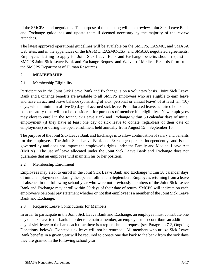of the SMCPS chief negotiator. The purpose of the meeting will be to review Joint Sick Leave Bank and Exchange guidelines and update them if deemed necessary by the majority of the review attendees.

The latest approved operational guidelines will be available on the SMCPS, EASMC, and SMASA web sites, and in the appendices of the EASMC, EASMC-ESP, and SMASA negotiated agreements. Employees desiring to apply for Joint Sick Leave Bank and Exchange benefits should request an SMCPS Joint Sick Leave Bank and Exchange Request and Waiver of Medical Records form from the SMCPS Department of Human Resources.

# **2. MEMBERSHIP**

# 2.1 Membership Eligibility

Participation in the Joint Sick Leave Bank and Exchange is on a voluntary basis. Joint Sick Leave Bank and Exchange benefits are available to all SMCPS employees who are eligible to earn leave and have an accrued leave balance (consisting of sick, personal or annual leave) of at least ten (10) days, with a minimum of five (5) days of accrued sick leave. Pre-allocated leave, acquired hours and compensatory time will not be considered for purposes of membership eligibility. New employees may elect to enroll in the Joint Sick Leave Bank and Exchange within 30 calendar days of initial employment (if they have at least one day of sick leave to donate, regardless of their date of employment) or during the open enrollment held annually from August 15 – September 15.

The purpose of the Joint Sick Leave Bank and Exchange is to allow continuation of salary and benefits for the employee. The Joint Sick Leave Bank and Exchange operates independently, and is not governed by and does not impact the employee's rights under the Family and Medical Leave Act (FMLA). The use of leave allocated under the Joint Sick Leave Bank and Exchange does not guarantee that an employee will maintain his or her position.

# 2.2 Membership Enrollment

Employees may elect to enroll in the Joint Sick Leave Bank and Exchange within 30 calendar days of initial employment or during the open enrollment in September. Employees returning from a leave of absence in the following school year who were not previously members of the Joint Sick Leave Bank and Exchange may enroll within 30 days of their date of return. SMCPS will indicate on each employee's personal pay statement whether or not that employee is a member of the Joint Sick Leave Bank and Exchange.

# 2.3 Required Leave Contributions for Members

In order to participate in the Joint Sick Leave Bank and Exchange, an employee must contribute one day of sick leave to the bank. In order to remain a member, an employee must contribute an additional day of sick leave to the bank each time there is a replenishment request (see Paragraph 7.2, Ongoing Donations, below). Donated sick leave will not be returned. All members who utilize Sick Leave Bank benefits in a given year will be required to donate one day back to the bank from the sick days they are granted in the following school year.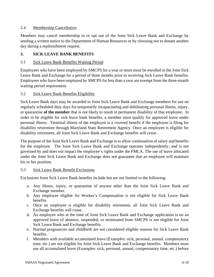#### 2.4 Membership Cancellation

Members may cancel membership in or opt out of the Joint Sick Leave Bank and Exchange by sending a written notice to the Department of Human Resources or by choosing not to donate another day during a replenishment request.

#### **3. SICK LEAVE BANK BENEFITS**

#### 3.1 Sick Leave Bank Benefits Waiting Period

Employees who have been employed by SMCPS for a year or more must be enrolled in the Joint Sick Leave Bank and Exchange for a period of three months prior to receiving Sick Leave Bank benefits. Employees who have been employed by SMCPS for less than a year are exempt from the three-month waiting period requirement.

#### 3.2 Sick Leave Bank Benefits Eligibility

Sick Leave Bank days may be awarded to Joint Sick Leave Bank and Exchange members for use on regularly scheduled duty days for temporarily incapacitating and debilitating personal illness, injury, or quarantine **of the member** that is not likely to result in permanent disability of that employee. In order to be eligible for sick leave bank benefits, a member must qualify for approved leave under personal illness. Terminal illness of the employee is a covered benefit if the employee is filing for disability retirement through Maryland State Retirement Agency. Once an employee is eligible for disability retirement, all Joint Sick Leave Bank and Exchange benefits will cease.

The purpose of the Joint Sick Leave Bank and Exchange is to allow continuation of salary and benefits for the employee. The Joint Sick Leave Bank and Exchange operates independently, and is not governed by and does not impact the employee's rights under the FMLA. The use of leave allocated under the Joint Sick Leave Bank and Exchange does not guarantee that an employee will maintain his or her position.

#### 3.3 Sick Leave Bank Benefit Exclusions

Exclusions from Sick Leave Bank benefits include but are not limited to the following.

- a. Any illness, injury, or quarantine of anyone other than the Joint Sick Leave Bank and Exchange member.
- b. Any employee eligible for Worker's Compensation is not eligible for Sick Leave Bank benefits.
- c. Once an employee is eligible for disability retirement, all Joint Sick Leave Bank and Exchange benefits will cease.
- d. An employee who at the time of Joint Sick Leave Bank and Exchange application is on an approved leave of absence, suspended, or terminated from SMCPS is not eligible for Joint Sick Leave Bank and Exchange benefits.
- e. Normal pregnancies and childbirth are not considered eligible reasons for Sick Leave Bank benefits.
- f. Members with available accumulated leave (Examples: sick, personal, annual, compensatory time, etc.) are not eligible for Joint Sick Leave Bank and Exchange benefits. Members must use all accumulated leave (Examples: sick, personal, annual, compensatory time, etc.) before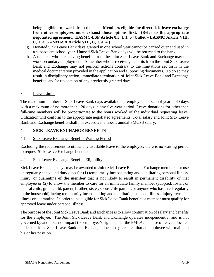being eligible for awards from the bank. **Members eligible for direct sick leave exchange from other employees must exhaust those options first. (Refer to the appropriate negotiated agreement: EASMC-ESP Article 8.3, f, 1, 6th bullet – EASMC Article VIII, C, 1, a, 6 – SMASA Article VIII, C, 1, a, 4.)**

- g. Donated Sick Leave Bank days granted in one school year cannot be carried over and used in a subsequent school year. Unused Sick Leave Bank days will be returned to the bank.
- h. A member who is receiving benefits from the Joint Sick Leave Bank and Exchange may not work secondary employment. A member who is receiving benefits from the Joint Sick Leave Bank and Exchange may not perform actions contrary to the limitations set forth in the medical documentation provided in the application and supporting documents. To do so may result in disciplinary action, immediate termination of Joint Sick Leave Bank and Exchange benefits, and/or revocation of any previously granted days.

#### 3.4 Leave Limits

The maximum number of Sick Leave Bank days available per employee per school year is 60 days with a maximum of no more than 120 days in any five-year period. Leave donations for other than full-time members will be proportionate to the hours worked of the individual requesting leave. Utilization will conform to the appropriate negotiated agreements. Total salary and Joint Sick Leave Bank and Exchange benefits shall not exceed a member's annual SMCPS salary.

#### **4. SICK LEAVE EXCHANGE BENEFITS**

#### 4.1 Sick Leave Exchange Benefits Waiting Period

Excluding the requirement to utilize any available leave to the employee, there is no waiting period to request Sick Leave Exchange benefits.

#### 4.2 Sick Leave Exchange Benefits Eligibility

Sick Leave Exchange days may be awarded to Joint Sick Leave Bank and Exchange members for use on regularly scheduled duty days for (1) temporarily incapacitating and debilitating personal illness, injury, or quarantine **of the member** that is not likely to result in permanent disability of that employee or (2) to allow the member to care for an immediate family member (adopted, foster, or natural child, grandchild, parent, brother, sister, spouse/life partner, or anyone who has lived regularly in the household) facing temporarily incapacitating and debilitating personal illness, injury, terminal illness or quarantine. In order to be eligible for Sick Leave Bank benefits, a member must qualify for approved leave under personal illness.

The purpose of the Joint Sick Leave Bank and Exchange is to allow continuation of salary and benefits for the employee. The Joint Sick Leave Bank and Exchange operates independently, and is not governed by and does not impact the employee's rights under the FMLA. The use of leave allocated under the Joint Sick Leave Bank and Exchange does not guarantee that an employee will maintain his or her position.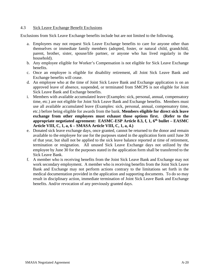#### 4.3 Sick Leave Exchange Benefit Exclusions

Exclusions from Sick Leave Exchange benefits include but are not limited to the following.

- a. Employees may not request Sick Leave Exchange benefits to care for anyone other than themselves or immediate family members (adopted, foster, or natural child, grandchild, parent, brother, sister, spouse/life partner, or anyone who has lived regularly in the household).
- b. Any employee eligible for Worker's Compensation is not eligible for Sick Leave Exchange benefits.
- c. Once an employee is eligible for disability retirement, all Joint Sick Leave Bank and Exchange benefits will cease.
- d. An employee who at the time of Joint Sick Leave Bank and Exchange application is on an approved leave of absence, suspended, or terminated from SMCPS is not eligible for Joint Sick Leave Bank and Exchange benefits.
- i. Members with available accumulated leave (Examples: sick, personal, annual, compensatory time, etc.) are not eligible for Joint Sick Leave Bank and Exchange benefits. Members must use all available accumulated leave (Examples: sick, personal, annual, compensatory time, etc.) before being eligible for awards from the bank. **Members eligible for direct sick leave exchange from other employees must exhaust those options first. (Refer to the appropriate negotiated agreement: EASMC-ESP Article 8.3, f, 1, 6th bullet – EASMC Article VIII, C, 1, a, 6 – SMASA Article VIII, C, 1, a, 4.)**
- e. Donated sick leave exchange days, once granted, cannot be returned to the donor and remain available to the employee for use for the purposes stated in the application form until June 30 of that year, but shall not be applied to the sick leave balance reported at time of retirement, termination or resignation. All unused Sick Leave Exchange days not utilized by the employee by June 30 for the purposes stated in the application form shall be transferred to the Sick Leave Bank.
- f. A member who is receiving benefits from the Joint Sick Leave Bank and Exchange may not work secondary employment. A member who is receiving benefits from the Joint Sick Leave Bank and Exchange may not perform actions contrary to the limitations set forth in the medical documentation provided in the application and supporting documents. To do so may result in disciplinary action, immediate termination of Joint Sick Leave Bank and Exchange benefits. And/or revocation of any previously granted days.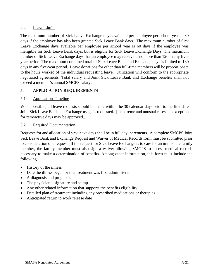#### 4.4 Leave Limits

The maximum number of Sick Leave Exchange days available per employee per school year is 30 days if the employee has also been granted Sick Leave Bank days. The maximum number of Sick Leave Exchange days available per employee per school year is 60 days if the employee was ineligible for Sick Leave Bank days, but is eligible for Sick Leave Exchange Days. The maximum number of Sick Leave Exchange days that an employee may receive is no more than 120 in any fiveyear period. The maximum combined total of Sick Leave Bank and Exchange days is limited to 180 days in any five-year period. Leave donations for other than full-time members will be proportionate to the hours worked of the individual requesting leave. Utilization will conform to the appropriate negotiated agreements. Total salary and Joint Sick Leave Bank and Exchange benefits shall not exceed a member's annual SMCPS salary.

# **5. APPLICATION REQUIREMENTS**

#### 5.1 Application Timeline

When possible, all leave requests should be made within the 30 calendar days prior to the first date Joint Sick Leave Bank and Exchange usage is requested. (In extreme and unusual cases, an exception for retroactive days may be approved.)

#### 5.2 Required Documentation

Requests for and allocation of sick leave days shall be in full day increments. A complete SMCPS Joint Sick Leave Bank and Exchange Request and Waiver of Medical Records form must be submitted prior to consideration of a request. If the request for Sick Leave Exchange is to care for an immediate family member, the family member must also sign a waiver allowing SMCPS to access medical records necessary to make a determination of benefits. Among other information, this form must include the following.

- History of the illness
- Date the illness began or that treatment was first administered
- A diagnosis and prognosis
- The physician's signature and stamp
- Any other related information that supports the benefits eligibility
- Detailed plan of treatment including any prescribed medications or therapies
- Anticipated return to work release date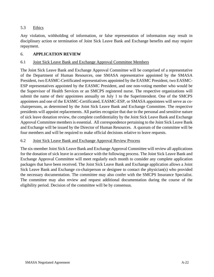#### 5.3 Ethics

Any violation, withholding of information, or false representation of information may result in disciplinary action or termination of Joint Sick Leave Bank and Exchange benefits and may require repayment.

#### 6. **APPLICATION REVIEW**

#### 6.1 Joint Sick Leave Bank and Exchange Approval Committee Members

The Joint Sick Leave Bank and Exchange Approval Committee will be comprised of a representative of the Department of Human Resources, one SMASA representative appointed by the SMASA President, two EASMC-Certificated representatives appointed by the EASMC President, two EASMC-ESP representatives appointed by the EASMC President, and one non-voting member who would be the Supervisor of Health Services or an SMCPS registered nurse. The respective organizations will submit the name of their appointees annually on July 1 to the Superintendent. One of the SMCPS appointees and one of the EASMC-Certificated, EASMC-ESP, or SMASA appointees will serve as cochairpersons, as determined by the Joint Sick Leave Bank and Exchange Committee. The respective presidents will appoint replacements. All parties recognize that due to the personal and sensitive nature of sick leave donation review, the complete confidentiality by the Joint Sick Leave Bank and Exchange Approval Committee members is essential. All correspondence pertaining to the Joint Sick Leave Bank and Exchange will be issued by the Director of Human Resources. A quorum of the committee will be four members and will be required to make official decisions relative to leave requests.

#### 6.2 Joint Sick Leave Bank and Exchange Approval Review Process

The six-member Joint Sick Leave Bank and Exchange Approval Committee will review all applications for the donation of sick leave in accordance with the following process. The Joint Sick Leave Bank and Exchange Approval Committee will meet regularly each month to consider any complete application packages that have been received. The Joint Sick Leave Bank and Exchange application allows a Joint Sick Leave Bank and Exchange co-chairperson or designee to contact the physician(s) who provided the necessary documentation. The committee may also confer with the SMCPS Insurance Specialist. The committee may also review and request additional documentation during the course of the eligibility period. Decision of the committee will be by consensus.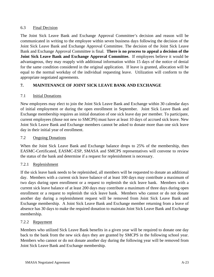#### 6.3 Final Decision

The Joint Sick Leave Bank and Exchange Approval Committee's decision and reason will be communicated in writing to the employee within seven business days following the decision of the Joint Sick Leave Bank and Exchange Approval Committee. The decision of the Joint Sick Leave Bank and Exchange Approval Committee is final. **There is no process to appeal a decision of the Joint Sick Leave Bank and Exchange Approval Committee.** If employees believe it would be advantageous, they may reapply with additional information within 15 days of the notice of denial for the same condition considered in the original application. If leave is granted, allocation will be equal to the normal workday of the individual requesting leave. Utilization will conform to the appropriate negotiated agreements.

# **7. MAINTENANCE OF JOINT SICK LEAVE BANK AND EXCHANGE**

#### 7.1 Initial Donations

New employees may elect to join the Joint Sick Leave Bank and Exchange within 30 calendar days of initial employment or during the open enrollment in September. Joint Sick Leave Bank and Exchange membership requires an initial donation of one sick leave day per member. To participate, current employees (those not new to SMCPS) must have at least 10 days of accrued sick leave. New Joint Sick Leave Bank and Exchange members cannot be asked to donate more than one sick leave day in their initial year of enrollment.

#### 7.2 Ongoing Donations

When the Joint Sick Leave Bank and Exchange balance drops to 25% of the membership, then EASMC-Certificated, EASMC-ESP, SMASA and SMCPS representatives will convene to review the status of the bank and determine if a request for replenishment is necessary.

# 7.2.1 Replenishment

If the sick leave bank needs to be replenished, all members will be requested to donate an additional day. Members with a current sick leave balance of at least 100 days may contribute a maximum of two days during open enrollment or a request to replenish the sick leave bank. Members with a current sick leave balance of at least 200 days may contribute a maximum of three days during open enrollment or a request to replenish the sick leave bank. Members who cannot or do not donate another day during a replenishment request will be removed from Joint Sick Leave Bank and Exchange membership. A Joint Sick Leave Bank and Exchange member returning from a leave of absence has 30 days to make the required donation to maintain Joint Sick Leave Bank and Exchange membership.

#### 7.2.2 Repayment

Members who utilized Sick Leave Bank benefits in a given year will be required to donate one day back to the bank from the new sick days they are granted by SMCPS in the following school year. Members who cannot or do not donate another day during the following year will be removed from Joint Sick Leave Bank and Exchange membership.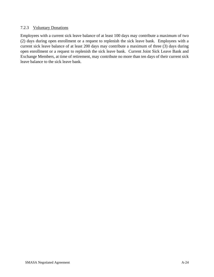#### 7.2.3 Voluntary Donations

Employees with a current sick leave balance of at least 100 days may contribute a maximum of two (2) days during open enrollment or a request to replenish the sick leave bank. Employees with a current sick leave balance of at least 200 days may contribute a maximum of three (3) days during open enrollment or a request to replenish the sick leave bank. Current Joint Sick Leave Bank and Exchange Members, at time of retirement, may contribute no more than ten days of their current sick leave balance to the sick leave bank.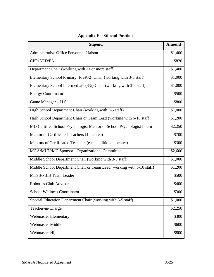| <b>Stipend</b>                                                        | <b>Amount</b> |
|-----------------------------------------------------------------------|---------------|
| Administrative Office Personnel Liaison                               | \$1,400       |
| CPR/AED/FA                                                            | \$820         |
| Department Chair (working with 11 or more staff)                      | \$1,400       |
| Elementary School Primary (PreK-2) Chair (working with 3-5 staff)     | \$1,000       |
| Elementary School Intermediate (3-5) Chair (working with 3-5 staff)   | \$1,000       |
| <b>Energy Coordinator</b>                                             | \$500         |
| Game Manager - H.S.                                                   | \$800         |
| High School Department Chair (working with 3-5 staff)                 | \$1,000       |
| High School Department Chair or Team Lead (working with 6-10 staff)   | \$1,200       |
| MD Certified School Psychologist Mentor of School Psychologist Intern | \$2,250       |
| Mentor of Certificated Teachers (1 mentee)                            | \$700         |
| Mentors of Certificated Teachers (each additional mentee)             | \$300         |
| MGA/MUN/MC Sponsor - Organizational Committee                         | \$2,600       |
| Middle School Department Chair (working with 3-5 staff)               | \$1,000       |
| Middle School Department Chair or Team Lead (working with 6-10 staff) | \$1,200       |
| MTSS/PBIS Team Leader                                                 | \$500         |
| <b>Robotics Club Advisor</b>                                          | \$400         |
| <b>School Wellness Coordinator</b>                                    | \$300         |
| Special Education Department Chair (working with 3-5 staff)           | \$1,000       |
| Teacher-in-Charge                                                     | \$2,250       |
| <b>Webmaster Elementary</b>                                           | \$300         |
| <b>Webmaster Middle</b>                                               | \$600         |
| Webmaster High                                                        | \$800         |

# **Appendix E – Stipend Positions**